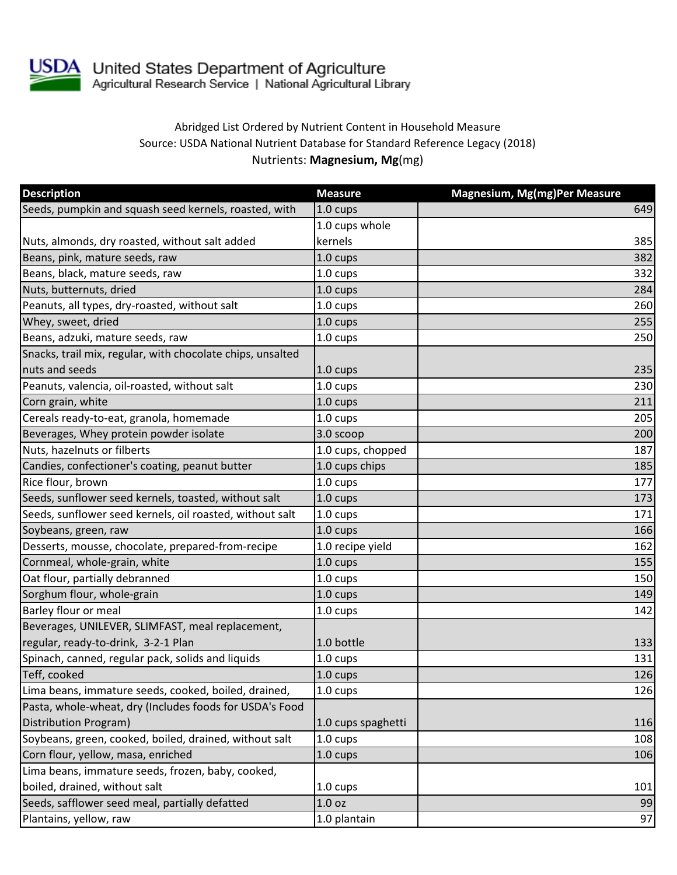

USDA United States Department of Agriculture<br>Agricultural Research Service | National Agricultural Library

## Abridged List Ordered by Nutrient Content in Household Measure Source: USDA National Nutrient Database for Standard Reference Legacy (2018) Nutrients: **Magnesium, Mg**(mg)

| <b>Description</b>                                         | <b>Measure</b>     | Magnesium, Mg(mg)Per Measure |
|------------------------------------------------------------|--------------------|------------------------------|
| Seeds, pumpkin and squash seed kernels, roasted, with      | 1.0 cups           | 649                          |
|                                                            | 1.0 cups whole     |                              |
| Nuts, almonds, dry roasted, without salt added             | kernels            | 385                          |
| Beans, pink, mature seeds, raw                             | $1.0 \text{ cups}$ | 382                          |
| Beans, black, mature seeds, raw                            | 1.0 cups           | 332                          |
| Nuts, butternuts, dried                                    | 1.0 cups           | 284                          |
| Peanuts, all types, dry-roasted, without salt              | 1.0 cups           | 260                          |
| Whey, sweet, dried                                         | 1.0 cups           | 255                          |
| Beans, adzuki, mature seeds, raw                           | 1.0 cups           | 250                          |
| Snacks, trail mix, regular, with chocolate chips, unsalted |                    |                              |
| nuts and seeds                                             | 1.0 cups           | 235                          |
| Peanuts, valencia, oil-roasted, without salt               | 1.0 cups           | 230                          |
| Corn grain, white                                          | 1.0 cups           | 211                          |
| Cereals ready-to-eat, granola, homemade                    | 1.0 cups           | 205                          |
| Beverages, Whey protein powder isolate                     | 3.0 scoop          | 200                          |
| Nuts, hazelnuts or filberts                                | 1.0 cups, chopped  | 187                          |
| Candies, confectioner's coating, peanut butter             | 1.0 cups chips     | 185                          |
| Rice flour, brown                                          | 1.0 cups           | 177                          |
| Seeds, sunflower seed kernels, toasted, without salt       | 1.0 cups           | 173                          |
| Seeds, sunflower seed kernels, oil roasted, without salt   | 1.0 cups           | 171                          |
| Soybeans, green, raw                                       | 1.0 cups           | 166                          |
| Desserts, mousse, chocolate, prepared-from-recipe          | 1.0 recipe yield   | 162                          |
| Cornmeal, whole-grain, white                               | 1.0 cups           | 155                          |
| Oat flour, partially debranned                             | 1.0 cups           | 150                          |
| Sorghum flour, whole-grain                                 | 1.0 cups           | 149                          |
| Barley flour or meal                                       | 1.0 cups           | 142                          |
| Beverages, UNILEVER, SLIMFAST, meal replacement,           |                    |                              |
| regular, ready-to-drink, 3-2-1 Plan                        | 1.0 bottle         | 133                          |
| Spinach, canned, regular pack, solids and liquids          | 1.0 cups           | 131                          |
| Teff, cooked                                               | 1.0 cups           | 126                          |
| Lima beans, immature seeds, cooked, boiled, drained,       | 1.0 cups           | 126                          |
| Pasta, whole-wheat, dry (Includes foods for USDA's Food    |                    |                              |
| Distribution Program)                                      | 1.0 cups spaghetti | 116                          |
| Soybeans, green, cooked, boiled, drained, without salt     | 1.0 cups           | 108                          |
| Corn flour, yellow, masa, enriched                         | 1.0 cups           | 106                          |
| Lima beans, immature seeds, frozen, baby, cooked,          |                    |                              |
| boiled, drained, without salt                              | 1.0 cups           | 101                          |
| Seeds, safflower seed meal, partially defatted             | 1.0 <sub>oz</sub>  | 99                           |
| Plantains, yellow, raw                                     | 1.0 plantain       | 97                           |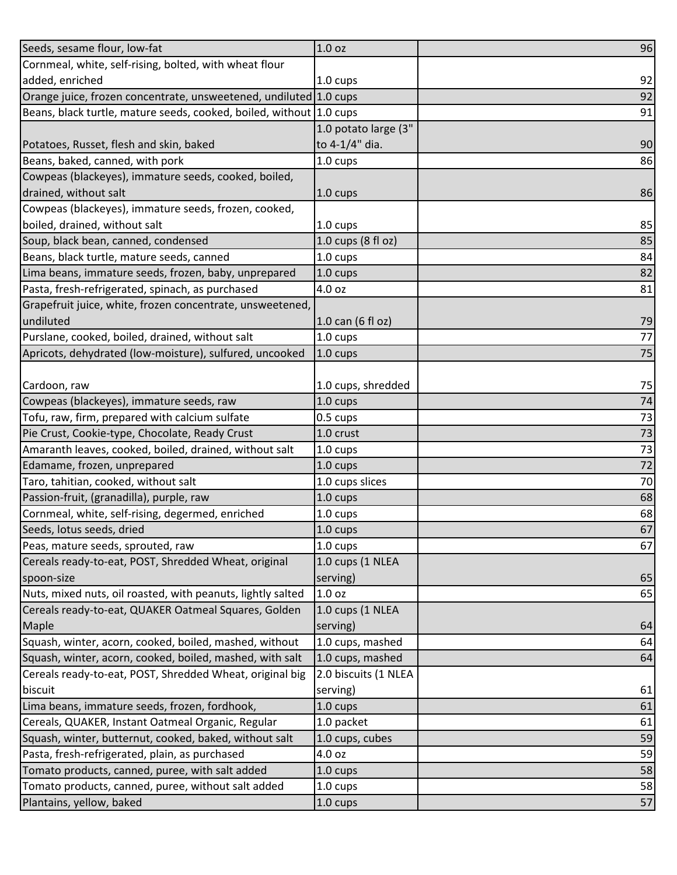| Seeds, sesame flour, low-fat                                        | 1.0 <sub>oz</sub>    | 96 |
|---------------------------------------------------------------------|----------------------|----|
| Cornmeal, white, self-rising, bolted, with wheat flour              |                      |    |
| added, enriched                                                     | 1.0 cups             | 92 |
| Orange juice, frozen concentrate, unsweetened, undiluted 1.0 cups   |                      | 92 |
| Beans, black turtle, mature seeds, cooked, boiled, without 1.0 cups |                      | 91 |
|                                                                     | 1.0 potato large (3" |    |
| Potatoes, Russet, flesh and skin, baked                             | to 4-1/4" dia.       | 90 |
| Beans, baked, canned, with pork                                     | 1.0 cups             | 86 |
| Cowpeas (blackeyes), immature seeds, cooked, boiled,                |                      |    |
| drained, without salt                                               | 1.0 cups             | 86 |
| Cowpeas (blackeyes), immature seeds, frozen, cooked,                |                      |    |
| boiled, drained, without salt                                       | 1.0 cups             | 85 |
| Soup, black bean, canned, condensed                                 | 1.0 cups (8 fl oz)   | 85 |
| Beans, black turtle, mature seeds, canned                           | $1.0 \text{ cups}$   | 84 |
| Lima beans, immature seeds, frozen, baby, unprepared                | $1.0 \text{ cups}$   | 82 |
| Pasta, fresh-refrigerated, spinach, as purchased                    | 4.0 oz               | 81 |
| Grapefruit juice, white, frozen concentrate, unsweetened,           |                      |    |
| undiluted                                                           | 1.0 can (6 fl oz)    | 79 |
| Purslane, cooked, boiled, drained, without salt                     | 1.0 cups             | 77 |
| Apricots, dehydrated (low-moisture), sulfured, uncooked             | 1.0 cups             | 75 |
|                                                                     |                      |    |
| Cardoon, raw                                                        | 1.0 cups, shredded   | 75 |
| Cowpeas (blackeyes), immature seeds, raw                            | 1.0 cups             | 74 |
| Tofu, raw, firm, prepared with calcium sulfate                      | 0.5 cups             | 73 |
| Pie Crust, Cookie-type, Chocolate, Ready Crust                      | 1.0 crust            | 73 |
| Amaranth leaves, cooked, boiled, drained, without salt              | 1.0 cups             | 73 |
| Edamame, frozen, unprepared                                         | 1.0 cups             | 72 |
| Taro, tahitian, cooked, without salt                                | 1.0 cups slices      | 70 |
| Passion-fruit, (granadilla), purple, raw                            | 1.0 cups             | 68 |
| Cornmeal, white, self-rising, degermed, enriched                    | 1.0 cups             | 68 |
| Seeds, lotus seeds, dried                                           | 1.0 cups             | 67 |
| Peas, mature seeds, sprouted, raw                                   | 1.0 cups             | 67 |
| Cereals ready-to-eat, POST, Shredded Wheat, original                | 1.0 cups (1 NLEA     |    |
| spoon-size                                                          | serving)             | 65 |
| Nuts, mixed nuts, oil roasted, with peanuts, lightly salted         | 1.0 <sub>oz</sub>    | 65 |
| Cereals ready-to-eat, QUAKER Oatmeal Squares, Golden                | 1.0 cups (1 NLEA     |    |
| Maple                                                               | serving)             | 64 |
| Squash, winter, acorn, cooked, boiled, mashed, without              | 1.0 cups, mashed     | 64 |
| Squash, winter, acorn, cooked, boiled, mashed, with salt            | 1.0 cups, mashed     | 64 |
| Cereals ready-to-eat, POST, Shredded Wheat, original big            | 2.0 biscuits (1 NLEA |    |
| biscuit                                                             | serving)             | 61 |
| Lima beans, immature seeds, frozen, fordhook,                       | $1.0 \text{ cups}$   | 61 |
| Cereals, QUAKER, Instant Oatmeal Organic, Regular                   | 1.0 packet           | 61 |
| Squash, winter, butternut, cooked, baked, without salt              | 1.0 cups, cubes      | 59 |
| Pasta, fresh-refrigerated, plain, as purchased                      | 4.0 oz               | 59 |
| Tomato products, canned, puree, with salt added                     | $1.0 \text{ cups}$   | 58 |
| Tomato products, canned, puree, without salt added                  | 1.0 cups             | 58 |
| Plantains, yellow, baked                                            | 1.0 cups             | 57 |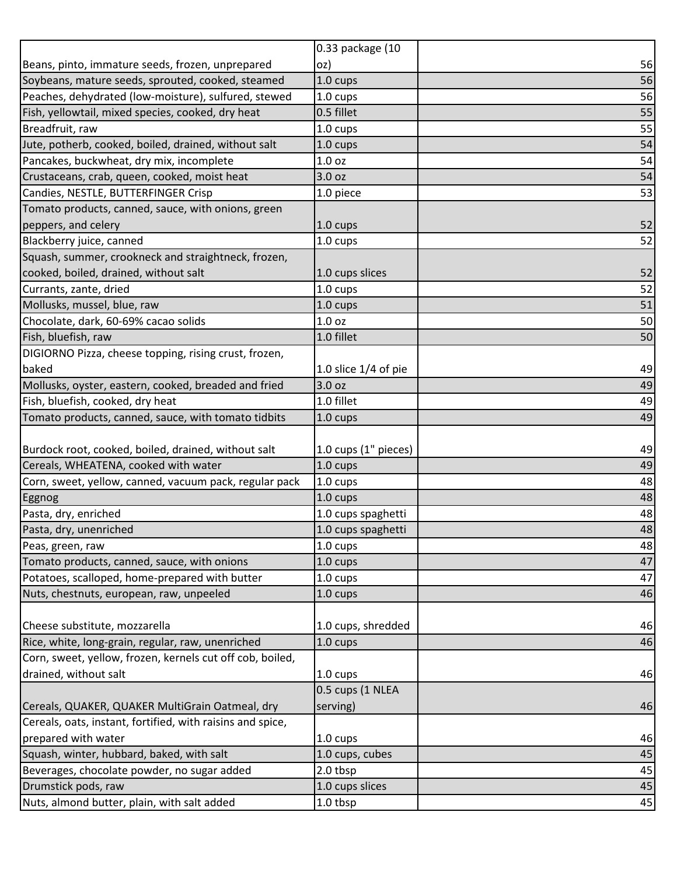|                                                            | 0.33 package (10       |    |
|------------------------------------------------------------|------------------------|----|
| Beans, pinto, immature seeds, frozen, unprepared           | oz)                    | 56 |
| Soybeans, mature seeds, sprouted, cooked, steamed          | 1.0 cups               | 56 |
| Peaches, dehydrated (low-moisture), sulfured, stewed       | 1.0 cups               | 56 |
| Fish, yellowtail, mixed species, cooked, dry heat          | 0.5 fillet             | 55 |
| Breadfruit, raw                                            | 1.0 cups               | 55 |
| Jute, potherb, cooked, boiled, drained, without salt       | 1.0 cups               | 54 |
| Pancakes, buckwheat, dry mix, incomplete                   | 1.0 oz                 | 54 |
| Crustaceans, crab, queen, cooked, moist heat               | 3.0 oz                 | 54 |
| Candies, NESTLE, BUTTERFINGER Crisp                        | 1.0 piece              | 53 |
| Tomato products, canned, sauce, with onions, green         |                        |    |
| peppers, and celery                                        | 1.0 cups               | 52 |
| Blackberry juice, canned                                   | 1.0 cups               | 52 |
| Squash, summer, crookneck and straightneck, frozen,        |                        |    |
| cooked, boiled, drained, without salt                      | 1.0 cups slices        | 52 |
| Currants, zante, dried                                     | 1.0 cups               | 52 |
| Mollusks, mussel, blue, raw                                | 1.0 cups               | 51 |
| Chocolate, dark, 60-69% cacao solids                       | 1.0 <sub>oz</sub>      | 50 |
| Fish, bluefish, raw                                        | 1.0 fillet             | 50 |
| DIGIORNO Pizza, cheese topping, rising crust, frozen,      |                        |    |
| baked                                                      | 1.0 slice $1/4$ of pie | 49 |
| Mollusks, oyster, eastern, cooked, breaded and fried       | 3.0 oz                 | 49 |
| Fish, bluefish, cooked, dry heat                           | 1.0 fillet             | 49 |
| Tomato products, canned, sauce, with tomato tidbits        | 1.0 cups               | 49 |
|                                                            |                        |    |
| Burdock root, cooked, boiled, drained, without salt        | 1.0 cups (1" pieces)   | 49 |
| Cereals, WHEATENA, cooked with water                       | 1.0 cups               | 49 |
| Corn, sweet, yellow, canned, vacuum pack, regular pack     | 1.0 cups               | 48 |
| <b>Eggnog</b>                                              | 1.0 cups               | 48 |
| Pasta, dry, enriched                                       | 1.0 cups spaghetti     | 48 |
| Pasta, dry, unenriched                                     | 1.0 cups spaghetti     | 48 |
| Peas, green, raw                                           | 1.0 cups               |    |
|                                                            |                        | 48 |
| Tomato products, canned, sauce, with onions                | 1.0 cups               | 47 |
| Potatoes, scalloped, home-prepared with butter             | 1.0 cups               | 47 |
| Nuts, chestnuts, european, raw, unpeeled                   | 1.0 cups               | 46 |
|                                                            |                        |    |
| Cheese substitute, mozzarella                              | 1.0 cups, shredded     | 46 |
| Rice, white, long-grain, regular, raw, unenriched          | 1.0 cups               | 46 |
| Corn, sweet, yellow, frozen, kernels cut off cob, boiled,  |                        |    |
| drained, without salt                                      | 1.0 cups               | 46 |
|                                                            | 0.5 cups (1 NLEA       |    |
| Cereals, QUAKER, QUAKER MultiGrain Oatmeal, dry            | serving)               | 46 |
| Cereals, oats, instant, fortified, with raisins and spice, |                        |    |
| prepared with water                                        | 1.0 cups               | 46 |
| Squash, winter, hubbard, baked, with salt                  | 1.0 cups, cubes        | 45 |
| Beverages, chocolate powder, no sugar added                | 2.0 tbsp               | 45 |
| Drumstick pods, raw                                        | 1.0 cups slices        | 45 |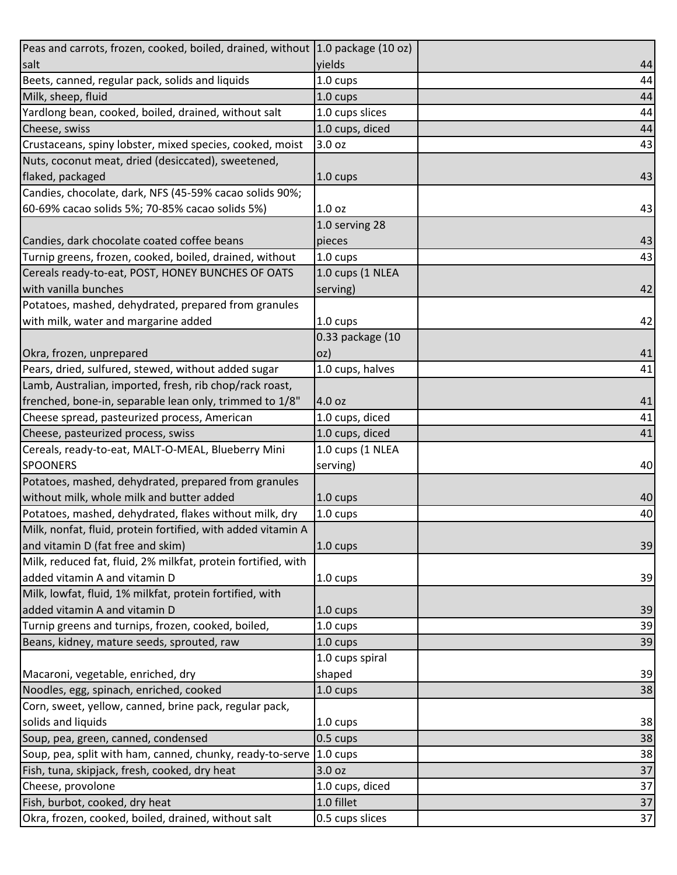| Peas and carrots, frozen, cooked, boiled, drained, without 1.0 package (10 oz) |                  |    |
|--------------------------------------------------------------------------------|------------------|----|
| salt                                                                           | yields           | 44 |
| Beets, canned, regular pack, solids and liquids                                | 1.0 cups         | 44 |
| Milk, sheep, fluid                                                             | 1.0 cups         | 44 |
| Yardlong bean, cooked, boiled, drained, without salt                           | 1.0 cups slices  | 44 |
| Cheese, swiss                                                                  | 1.0 cups, diced  | 44 |
| Crustaceans, spiny lobster, mixed species, cooked, moist                       | 3.0 oz           | 43 |
| Nuts, coconut meat, dried (desiccated), sweetened,                             |                  |    |
| flaked, packaged                                                               | 1.0 cups         | 43 |
| Candies, chocolate, dark, NFS (45-59% cacao solids 90%;                        |                  |    |
| 60-69% cacao solids 5%; 70-85% cacao solids 5%)                                | 1.0 oz           | 43 |
|                                                                                | 1.0 serving 28   |    |
| Candies, dark chocolate coated coffee beans                                    | pieces           | 43 |
| Turnip greens, frozen, cooked, boiled, drained, without                        | 1.0 cups         | 43 |
| Cereals ready-to-eat, POST, HONEY BUNCHES OF OATS                              | 1.0 cups (1 NLEA |    |
| with vanilla bunches                                                           | serving)         | 42 |
| Potatoes, mashed, dehydrated, prepared from granules                           |                  |    |
| with milk, water and margarine added                                           | 1.0 cups         | 42 |
|                                                                                | 0.33 package (10 |    |
| Okra, frozen, unprepared                                                       | oz)              | 41 |
| Pears, dried, sulfured, stewed, without added sugar                            | 1.0 cups, halves | 41 |
| Lamb, Australian, imported, fresh, rib chop/rack roast,                        |                  |    |
| frenched, bone-in, separable lean only, trimmed to 1/8"                        | 4.0 oz           | 41 |
| Cheese spread, pasteurized process, American                                   | 1.0 cups, diced  | 41 |
| Cheese, pasteurized process, swiss                                             | 1.0 cups, diced  | 41 |
| Cereals, ready-to-eat, MALT-O-MEAL, Blueberry Mini                             | 1.0 cups (1 NLEA |    |
| <b>SPOONERS</b>                                                                | serving)         | 40 |
| Potatoes, mashed, dehydrated, prepared from granules                           |                  |    |
| without milk, whole milk and butter added                                      | 1.0 cups         | 40 |
| Potatoes, mashed, dehydrated, flakes without milk, dry                         | 1.0 cups         | 40 |
| Milk, nonfat, fluid, protein fortified, with added vitamin A                   |                  |    |
| and vitamin D (fat free and skim)                                              | 1.0 cups         | 39 |
| Milk, reduced fat, fluid, 2% milkfat, protein fortified, with                  |                  |    |
| added vitamin A and vitamin D                                                  | 1.0 cups         | 39 |
| Milk, lowfat, fluid, 1% milkfat, protein fortified, with                       |                  |    |
| added vitamin A and vitamin D                                                  | 1.0 cups         | 39 |
| Turnip greens and turnips, frozen, cooked, boiled,                             | 1.0 cups         | 39 |
| Beans, kidney, mature seeds, sprouted, raw                                     | 1.0 cups         | 39 |
|                                                                                | 1.0 cups spiral  |    |
| Macaroni, vegetable, enriched, dry                                             | shaped           | 39 |
| Noodles, egg, spinach, enriched, cooked                                        | 1.0 cups         | 38 |
| Corn, sweet, yellow, canned, brine pack, regular pack,                         |                  |    |
| solids and liquids                                                             | 1.0 cups         | 38 |
| Soup, pea, green, canned, condensed                                            | 0.5 cups         | 38 |
| Soup, pea, split with ham, canned, chunky, ready-to-serve                      | 1.0 cups         | 38 |
| Fish, tuna, skipjack, fresh, cooked, dry heat                                  | 3.0 oz           | 37 |
| Cheese, provolone                                                              | 1.0 cups, diced  | 37 |
| Fish, burbot, cooked, dry heat                                                 | 1.0 fillet       | 37 |
| Okra, frozen, cooked, boiled, drained, without salt                            | 0.5 cups slices  | 37 |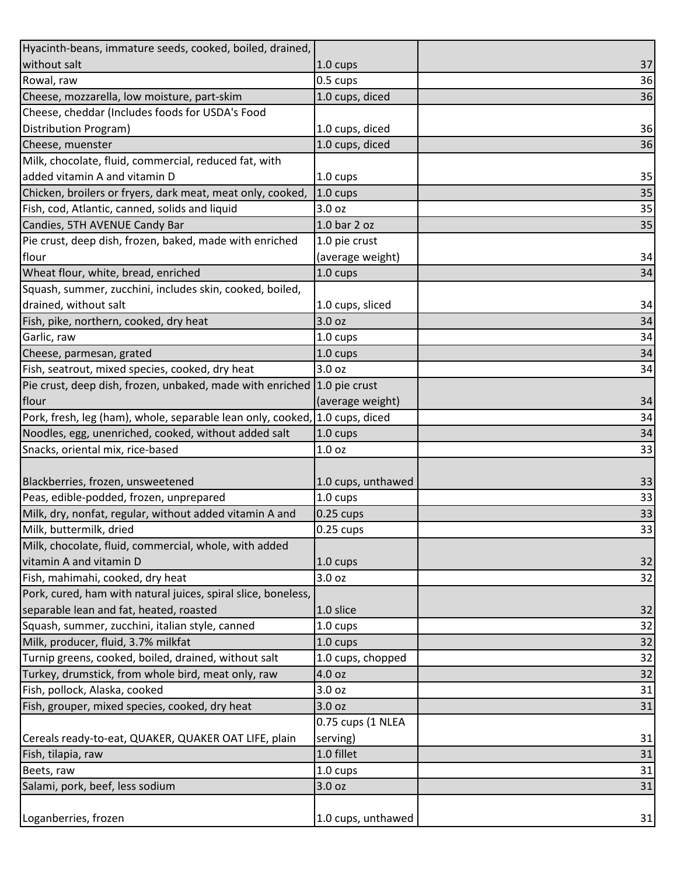| Hyacinth-beans, immature seeds, cooked, boiled, drained,                    |                    |    |
|-----------------------------------------------------------------------------|--------------------|----|
| without salt                                                                | 1.0 cups           | 37 |
| Rowal, raw                                                                  | 0.5 cups           | 36 |
| Cheese, mozzarella, low moisture, part-skim                                 | 1.0 cups, diced    | 36 |
| Cheese, cheddar (Includes foods for USDA's Food                             |                    |    |
| Distribution Program)                                                       | 1.0 cups, diced    | 36 |
| Cheese, muenster                                                            | 1.0 cups, diced    | 36 |
| Milk, chocolate, fluid, commercial, reduced fat, with                       |                    |    |
| added vitamin A and vitamin D                                               | $1.0 \text{ cups}$ | 35 |
| Chicken, broilers or fryers, dark meat, meat only, cooked,                  | 1.0 cups           | 35 |
| Fish, cod, Atlantic, canned, solids and liquid                              | 3.0 oz             | 35 |
| Candies, 5TH AVENUE Candy Bar                                               | 1.0 bar 2 oz       | 35 |
| Pie crust, deep dish, frozen, baked, made with enriched                     | 1.0 pie crust      |    |
| flour                                                                       | (average weight)   | 34 |
| Wheat flour, white, bread, enriched                                         | 1.0 cups           | 34 |
| Squash, summer, zucchini, includes skin, cooked, boiled,                    |                    |    |
| drained, without salt                                                       | 1.0 cups, sliced   | 34 |
| Fish, pike, northern, cooked, dry heat                                      | 3.0 oz             | 34 |
| Garlic, raw                                                                 | 1.0 cups           | 34 |
| Cheese, parmesan, grated                                                    | 1.0 cups           | 34 |
| Fish, seatrout, mixed species, cooked, dry heat                             | 3.0 oz             | 34 |
| Pie crust, deep dish, frozen, unbaked, made with enriched                   | 1.0 pie crust      |    |
| flour                                                                       | (average weight)   | 34 |
| Pork, fresh, leg (ham), whole, separable lean only, cooked, 1.0 cups, diced |                    | 34 |
| Noodles, egg, unenriched, cooked, without added salt                        | 1.0 cups           | 34 |
| Snacks, oriental mix, rice-based                                            | 1.0 <sub>oz</sub>  | 33 |
|                                                                             |                    |    |
| Blackberries, frozen, unsweetened                                           | 1.0 cups, unthawed | 33 |
| Peas, edible-podded, frozen, unprepared                                     | 1.0 cups           | 33 |
| Milk, dry, nonfat, regular, without added vitamin A and                     | $0.25$ cups        | 33 |
| Milk, buttermilk, dried                                                     | 0.25 cups          | 33 |
| Milk, chocolate, fluid, commercial, whole, with added                       |                    |    |
| vitamin A and vitamin D                                                     | $1.0 \text{ cups}$ | 32 |
| Fish, mahimahi, cooked, dry heat                                            | 3.0 oz             | 32 |
| Pork, cured, ham with natural juices, spiral slice, boneless,               |                    |    |
| separable lean and fat, heated, roasted                                     | 1.0 slice          | 32 |
| Squash, summer, zucchini, italian style, canned                             | 1.0 cups           | 32 |
| Milk, producer, fluid, 3.7% milkfat                                         | 1.0 cups           | 32 |
| Turnip greens, cooked, boiled, drained, without salt                        | 1.0 cups, chopped  | 32 |
| Turkey, drumstick, from whole bird, meat only, raw                          | 4.0 oz             | 32 |
| Fish, pollock, Alaska, cooked                                               | 3.0 oz             | 31 |
| Fish, grouper, mixed species, cooked, dry heat                              | 3.0 oz             | 31 |
|                                                                             | 0.75 cups (1 NLEA  |    |
| Cereals ready-to-eat, QUAKER, QUAKER OAT LIFE, plain                        | serving)           | 31 |
| Fish, tilapia, raw                                                          | 1.0 fillet         | 31 |
| Beets, raw                                                                  | 1.0 cups           | 31 |
| Salami, pork, beef, less sodium                                             | 3.0 oz             | 31 |
|                                                                             |                    |    |
| Loganberries, frozen                                                        | 1.0 cups, unthawed | 31 |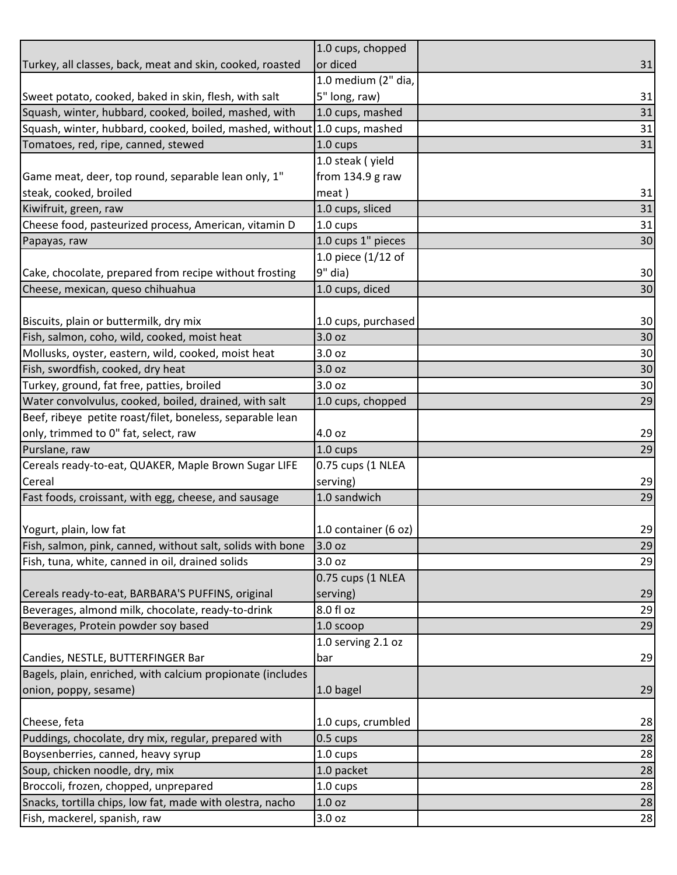|                                                            | 1.0 cups, chopped    |    |
|------------------------------------------------------------|----------------------|----|
| Turkey, all classes, back, meat and skin, cooked, roasted  | or diced             | 31 |
|                                                            | 1.0 medium (2" dia,  |    |
| Sweet potato, cooked, baked in skin, flesh, with salt      | 5" long, raw)        | 31 |
| Squash, winter, hubbard, cooked, boiled, mashed, with      | 1.0 cups, mashed     | 31 |
| Squash, winter, hubbard, cooked, boiled, mashed, without   | 1.0 cups, mashed     | 31 |
| Tomatoes, red, ripe, canned, stewed                        | 1.0 cups             | 31 |
|                                                            | 1.0 steak (yield     |    |
| Game meat, deer, top round, separable lean only, 1"        | from 134.9 g raw     |    |
| steak, cooked, broiled                                     | meat)                | 31 |
| Kiwifruit, green, raw                                      | 1.0 cups, sliced     | 31 |
| Cheese food, pasteurized process, American, vitamin D      | 1.0 cups             | 31 |
| Papayas, raw                                               | 1.0 cups 1" pieces   | 30 |
|                                                            | 1.0 piece (1/12 of   |    |
| Cake, chocolate, prepared from recipe without frosting     | 9" dia)              | 30 |
| Cheese, mexican, queso chihuahua                           | 1.0 cups, diced      | 30 |
|                                                            |                      |    |
| Biscuits, plain or buttermilk, dry mix                     | 1.0 cups, purchased  | 30 |
| Fish, salmon, coho, wild, cooked, moist heat               | 3.0 oz               | 30 |
| Mollusks, oyster, eastern, wild, cooked, moist heat        | 3.0 oz               | 30 |
| Fish, swordfish, cooked, dry heat                          | 3.0 oz               | 30 |
| Turkey, ground, fat free, patties, broiled                 | 3.0 oz               | 30 |
| Water convolvulus, cooked, boiled, drained, with salt      | 1.0 cups, chopped    | 29 |
| Beef, ribeye petite roast/filet, boneless, separable lean  |                      |    |
| only, trimmed to 0" fat, select, raw                       | 4.0 oz               | 29 |
| Purslane, raw                                              | 1.0 cups             | 29 |
| Cereals ready-to-eat, QUAKER, Maple Brown Sugar LIFE       | 0.75 cups (1 NLEA    |    |
| Cereal                                                     | serving)             | 29 |
| Fast foods, croissant, with egg, cheese, and sausage       | 1.0 sandwich         | 29 |
|                                                            |                      |    |
| Yogurt, plain, low fat                                     | 1.0 container (6 oz) | 29 |
| Fish, salmon, pink, canned, without salt, solids with bone | 3.0 oz               | 29 |
| Fish, tuna, white, canned in oil, drained solids           | 3.0 oz               | 29 |
|                                                            | 0.75 cups (1 NLEA    |    |
| Cereals ready-to-eat, BARBARA'S PUFFINS, original          | serving)             | 29 |
| Beverages, almond milk, chocolate, ready-to-drink          | 8.0 fl oz            | 29 |
| Beverages, Protein powder soy based                        | 1.0 scoop            | 29 |
|                                                            | 1.0 serving 2.1 oz   |    |
| Candies, NESTLE, BUTTERFINGER Bar                          | bar                  | 29 |
| Bagels, plain, enriched, with calcium propionate (includes |                      |    |
| onion, poppy, sesame)                                      | 1.0 bagel            | 29 |
|                                                            |                      |    |
| Cheese, feta                                               | 1.0 cups, crumbled   | 28 |
| Puddings, chocolate, dry mix, regular, prepared with       | $0.5 \text{ cups}$   | 28 |
| Boysenberries, canned, heavy syrup                         | 1.0 cups             | 28 |
| Soup, chicken noodle, dry, mix                             | 1.0 packet           | 28 |
| Broccoli, frozen, chopped, unprepared                      | 1.0 cups             | 28 |
| Snacks, tortilla chips, low fat, made with olestra, nacho  | 1.0 oz               | 28 |
| Fish, mackerel, spanish, raw                               | 3.0 oz               | 28 |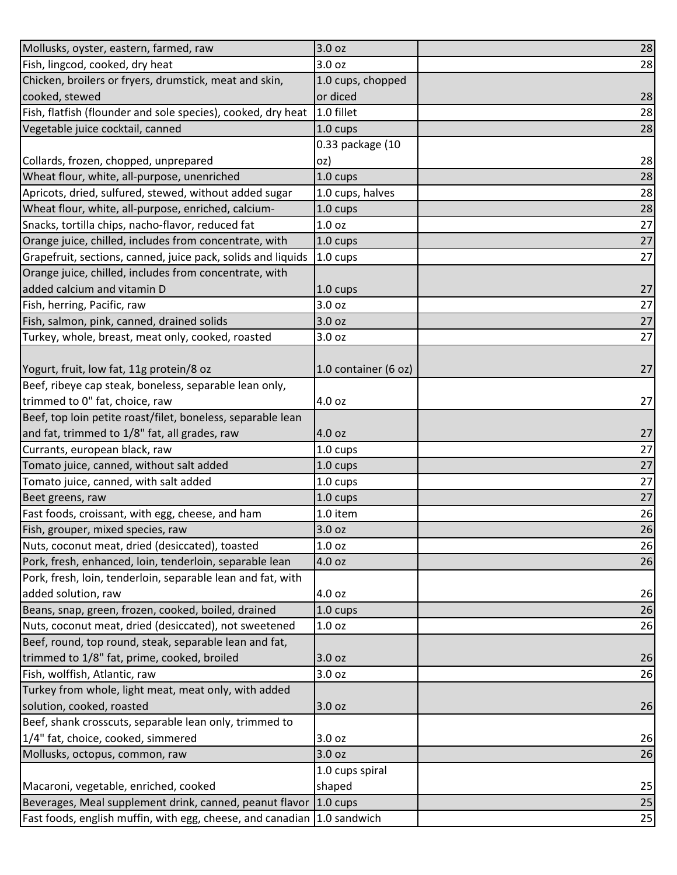| Mollusks, oyster, eastern, farmed, raw                                  | 3.0 oz               | 28     |
|-------------------------------------------------------------------------|----------------------|--------|
| Fish, lingcod, cooked, dry heat                                         | 3.0 oz               | 28     |
| Chicken, broilers or fryers, drumstick, meat and skin,                  | 1.0 cups, chopped    |        |
| cooked, stewed                                                          | or diced             | 28     |
| Fish, flatfish (flounder and sole species), cooked, dry heat            | 1.0 fillet           | 28     |
| Vegetable juice cocktail, canned                                        | 1.0 cups             | 28     |
|                                                                         | 0.33 package (10     |        |
| Collards, frozen, chopped, unprepared                                   | oz)                  | 28     |
| Wheat flour, white, all-purpose, unenriched                             | 1.0 cups             | 28     |
| Apricots, dried, sulfured, stewed, without added sugar                  | 1.0 cups, halves     | 28     |
| Wheat flour, white, all-purpose, enriched, calcium-                     | 1.0 cups             | 28     |
| Snacks, tortilla chips, nacho-flavor, reduced fat                       | 1.0 oz               | 27     |
| Orange juice, chilled, includes from concentrate, with                  | 1.0 cups             | 27     |
| Grapefruit, sections, canned, juice pack, solids and liquids            | $1.0 \text{ cups}$   | 27     |
| Orange juice, chilled, includes from concentrate, with                  |                      |        |
| added calcium and vitamin D                                             | 1.0 cups             | 27     |
| Fish, herring, Pacific, raw                                             | 3.0 oz               | 27     |
| Fish, salmon, pink, canned, drained solids                              | 3.0 oz               | $27\,$ |
| Turkey, whole, breast, meat only, cooked, roasted                       | 3.0 oz               | 27     |
|                                                                         |                      |        |
| Yogurt, fruit, low fat, 11g protein/8 oz                                | 1.0 container (6 oz) | 27     |
| Beef, ribeye cap steak, boneless, separable lean only,                  |                      |        |
| trimmed to 0" fat, choice, raw                                          | 4.0 oz               | 27     |
| Beef, top loin petite roast/filet, boneless, separable lean             |                      |        |
| and fat, trimmed to 1/8" fat, all grades, raw                           | 4.0 oz               | 27     |
| Currants, european black, raw                                           | 1.0 cups             | 27     |
| Tomato juice, canned, without salt added                                | 1.0 cups             | 27     |
| Tomato juice, canned, with salt added                                   | 1.0 cups             | 27     |
| Beet greens, raw                                                        | 1.0 cups             | 27     |
| Fast foods, croissant, with egg, cheese, and ham                        | 1.0 item             | 26     |
| Fish, grouper, mixed species, raw                                       | 3.0 oz               | 26     |
| Nuts, coconut meat, dried (desiccated), toasted                         | 1.0 <sub>oz</sub>    | 26     |
| Pork, fresh, enhanced, loin, tenderloin, separable lean                 | 4.0 oz               | 26     |
| Pork, fresh, loin, tenderloin, separable lean and fat, with             |                      |        |
| added solution, raw                                                     | 4.0 oz               | 26     |
| Beans, snap, green, frozen, cooked, boiled, drained                     | 1.0 cups             | 26     |
| Nuts, coconut meat, dried (desiccated), not sweetened                   | 1.0 <sub>oz</sub>    | 26     |
| Beef, round, top round, steak, separable lean and fat,                  |                      |        |
| trimmed to 1/8" fat, prime, cooked, broiled                             | 3.0 oz               | 26     |
| Fish, wolffish, Atlantic, raw                                           | 3.0 oz               | 26     |
| Turkey from whole, light meat, meat only, with added                    |                      |        |
| solution, cooked, roasted                                               | 3.0 oz               | 26     |
| Beef, shank crosscuts, separable lean only, trimmed to                  |                      |        |
| 1/4" fat, choice, cooked, simmered                                      | 3.0 oz               | 26     |
| Mollusks, octopus, common, raw                                          | 3.0 oz               | 26     |
|                                                                         | 1.0 cups spiral      |        |
| Macaroni, vegetable, enriched, cooked                                   | shaped               | 25     |
| Beverages, Meal supplement drink, canned, peanut flavor                 | $1.0 \text{ cups}$   | 25     |
| Fast foods, english muffin, with egg, cheese, and canadian 1.0 sandwich |                      | 25     |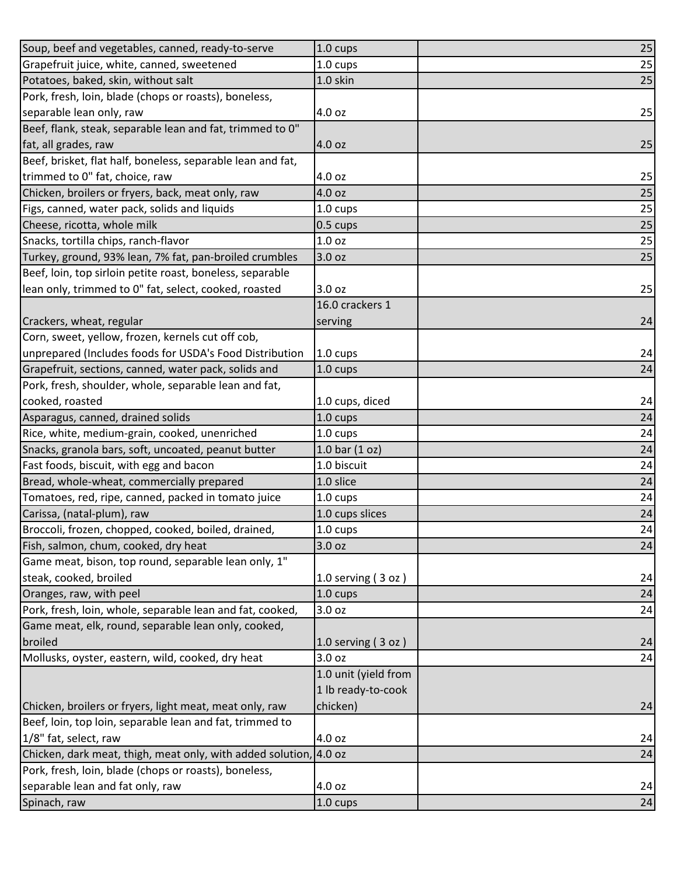| Soup, beef and vegetables, canned, ready-to-serve                 | 1.0 cups             | 25 |
|-------------------------------------------------------------------|----------------------|----|
| Grapefruit juice, white, canned, sweetened                        | 1.0 cups             | 25 |
| Potatoes, baked, skin, without salt                               | 1.0 skin             | 25 |
| Pork, fresh, loin, blade (chops or roasts), boneless,             |                      |    |
| separable lean only, raw                                          | 4.0 oz               | 25 |
| Beef, flank, steak, separable lean and fat, trimmed to 0"         |                      |    |
| fat, all grades, raw                                              | 4.0 oz               | 25 |
| Beef, brisket, flat half, boneless, separable lean and fat,       |                      |    |
| trimmed to 0" fat, choice, raw                                    | 4.0 oz               | 25 |
| Chicken, broilers or fryers, back, meat only, raw                 | 4.0 oz               | 25 |
| Figs, canned, water pack, solids and liquids                      | 1.0 cups             | 25 |
| Cheese, ricotta, whole milk                                       | 0.5 cups             | 25 |
| Snacks, tortilla chips, ranch-flavor                              | 1.0 oz               | 25 |
| Turkey, ground, 93% lean, 7% fat, pan-broiled crumbles            | 3.0 oz               | 25 |
| Beef, loin, top sirloin petite roast, boneless, separable         |                      |    |
| lean only, trimmed to 0" fat, select, cooked, roasted             | 3.0 oz               | 25 |
|                                                                   | 16.0 crackers 1      |    |
| Crackers, wheat, regular                                          | serving              | 24 |
| Corn, sweet, yellow, frozen, kernels cut off cob,                 |                      |    |
| unprepared (Includes foods for USDA's Food Distribution           | 1.0 cups             | 24 |
| Grapefruit, sections, canned, water pack, solids and              | 1.0 cups             | 24 |
| Pork, fresh, shoulder, whole, separable lean and fat,             |                      |    |
| cooked, roasted                                                   | 1.0 cups, diced      | 24 |
| Asparagus, canned, drained solids                                 | 1.0 cups             | 24 |
| Rice, white, medium-grain, cooked, unenriched                     | 1.0 cups             | 24 |
| Snacks, granola bars, soft, uncoated, peanut butter               | 1.0 bar $(1 oz)$     | 24 |
| Fast foods, biscuit, with egg and bacon                           | 1.0 biscuit          | 24 |
| Bread, whole-wheat, commercially prepared                         | 1.0 slice            | 24 |
| Tomatoes, red, ripe, canned, packed in tomato juice               | 1.0 cups             | 24 |
| Carissa, (natal-plum), raw                                        | 1.0 cups slices      | 24 |
| Broccoli, frozen, chopped, cooked, boiled, drained,               | 1.0 cups             | 24 |
| Fish, salmon, chum, cooked, dry heat                              | 3.0 oz               | 24 |
| Game meat, bison, top round, separable lean only, 1"              |                      |    |
| steak, cooked, broiled                                            | 1.0 serving $(3 oz)$ | 24 |
| Oranges, raw, with peel                                           | 1.0 cups             | 24 |
| Pork, fresh, loin, whole, separable lean and fat, cooked,         | 3.0 oz               | 24 |
| Game meat, elk, round, separable lean only, cooked,               |                      |    |
| broiled                                                           | 1.0 serving $(3 oz)$ | 24 |
| Mollusks, oyster, eastern, wild, cooked, dry heat                 | 3.0 oz               | 24 |
|                                                                   | 1.0 unit (yield from |    |
|                                                                   | 1 lb ready-to-cook   |    |
| Chicken, broilers or fryers, light meat, meat only, raw           | chicken)             | 24 |
| Beef, loin, top loin, separable lean and fat, trimmed to          |                      |    |
| 1/8" fat, select, raw                                             | 4.0 oz               | 24 |
| Chicken, dark meat, thigh, meat only, with added solution, 4.0 oz |                      | 24 |
| Pork, fresh, loin, blade (chops or roasts), boneless,             |                      |    |
| separable lean and fat only, raw                                  | 4.0 oz               | 24 |
| Spinach, raw                                                      | 1.0 cups             | 24 |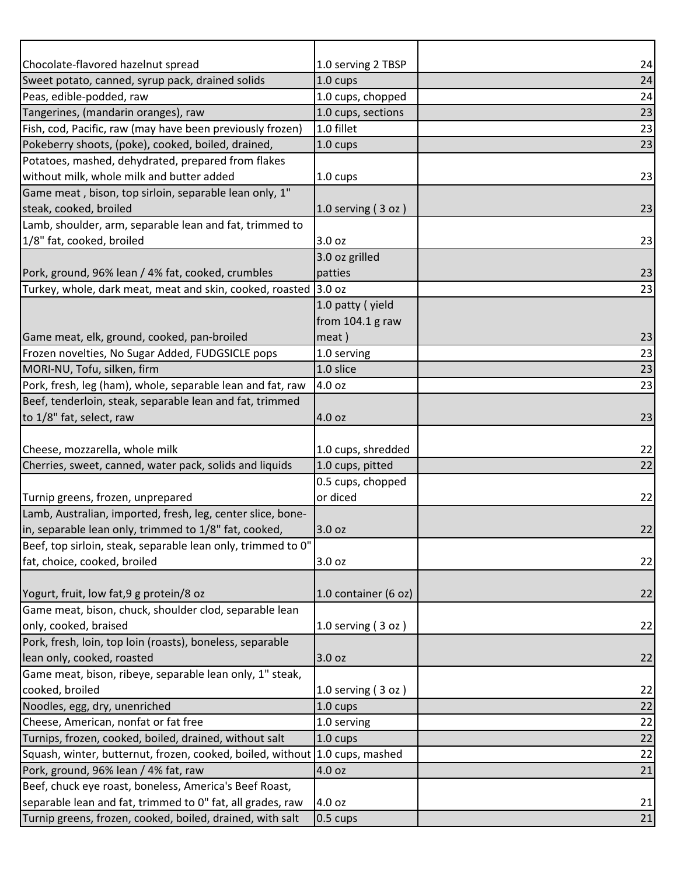| Chocolate-flavored hazelnut spread                           | 1.0 serving 2 TBSP        | 24 |
|--------------------------------------------------------------|---------------------------|----|
| Sweet potato, canned, syrup pack, drained solids             | 1.0 cups                  | 24 |
| Peas, edible-podded, raw                                     | 1.0 cups, chopped         | 24 |
| Tangerines, (mandarin oranges), raw                          | 1.0 cups, sections        | 23 |
| Fish, cod, Pacific, raw (may have been previously frozen)    | 1.0 fillet                | 23 |
| Pokeberry shoots, (poke), cooked, boiled, drained,           | 1.0 cups                  | 23 |
| Potatoes, mashed, dehydrated, prepared from flakes           |                           |    |
| without milk, whole milk and butter added                    | 1.0 cups                  | 23 |
| Game meat, bison, top sirloin, separable lean only, 1"       |                           |    |
| steak, cooked, broiled                                       | $1.0$ serving $(3$ oz $)$ | 23 |
| Lamb, shoulder, arm, separable lean and fat, trimmed to      |                           |    |
| 1/8" fat, cooked, broiled                                    | 3.0 oz                    | 23 |
|                                                              | 3.0 oz grilled            |    |
| Pork, ground, 96% lean / 4% fat, cooked, crumbles            | patties                   | 23 |
| Turkey, whole, dark meat, meat and skin, cooked, roasted     | 3.0 oz                    | 23 |
|                                                              | 1.0 patty (yield          |    |
|                                                              | from 104.1 g raw          |    |
| Game meat, elk, ground, cooked, pan-broiled                  | meat)                     | 23 |
| Frozen novelties, No Sugar Added, FUDGSICLE pops             | 1.0 serving               | 23 |
| MORI-NU, Tofu, silken, firm                                  | 1.0 slice                 | 23 |
| Pork, fresh, leg (ham), whole, separable lean and fat, raw   | 4.0 oz                    | 23 |
| Beef, tenderloin, steak, separable lean and fat, trimmed     |                           |    |
| to 1/8" fat, select, raw                                     | 4.0 oz                    | 23 |
|                                                              |                           |    |
| Cheese, mozzarella, whole milk                               | 1.0 cups, shredded        | 22 |
| Cherries, sweet, canned, water pack, solids and liquids      | 1.0 cups, pitted          | 22 |
|                                                              | 0.5 cups, chopped         |    |
| Turnip greens, frozen, unprepared                            | or diced                  | 22 |
| Lamb, Australian, imported, fresh, leg, center slice, bone-  |                           |    |
| in, separable lean only, trimmed to 1/8" fat, cooked,        | 3.0 oz                    | 22 |
| Beef, top sirloin, steak, separable lean only, trimmed to 0" |                           |    |
| fat, choice, cooked, broiled                                 | 3.0 oz                    | 22 |
|                                                              |                           |    |
| Yogurt, fruit, low fat, 9 g protein/8 oz                     | 1.0 container (6 oz)      | 22 |
| Game meat, bison, chuck, shoulder clod, separable lean       |                           |    |
| only, cooked, braised                                        | 1.0 serving $(3 oz)$      | 22 |
| Pork, fresh, loin, top loin (roasts), boneless, separable    |                           |    |
| lean only, cooked, roasted                                   | 3.0 oz                    | 22 |
| Game meat, bison, ribeye, separable lean only, 1" steak,     |                           |    |
| cooked, broiled                                              | 1.0 serving $(3 oz)$      | 22 |
| Noodles, egg, dry, unenriched                                | 1.0 cups                  | 22 |
| Cheese, American, nonfat or fat free                         | 1.0 serving               | 22 |
| Turnips, frozen, cooked, boiled, drained, without salt       | 1.0 cups                  | 22 |
| Squash, winter, butternut, frozen, cooked, boiled, without   | 1.0 cups, mashed          | 22 |
| Pork, ground, 96% lean / 4% fat, raw                         | 4.0 oz                    | 21 |
| Beef, chuck eye roast, boneless, America's Beef Roast,       |                           |    |
| separable lean and fat, trimmed to 0" fat, all grades, raw   | 4.0 oz                    | 21 |
| Turnip greens, frozen, cooked, boiled, drained, with salt    | $0.5 \text{ cups}$        | 21 |
|                                                              |                           |    |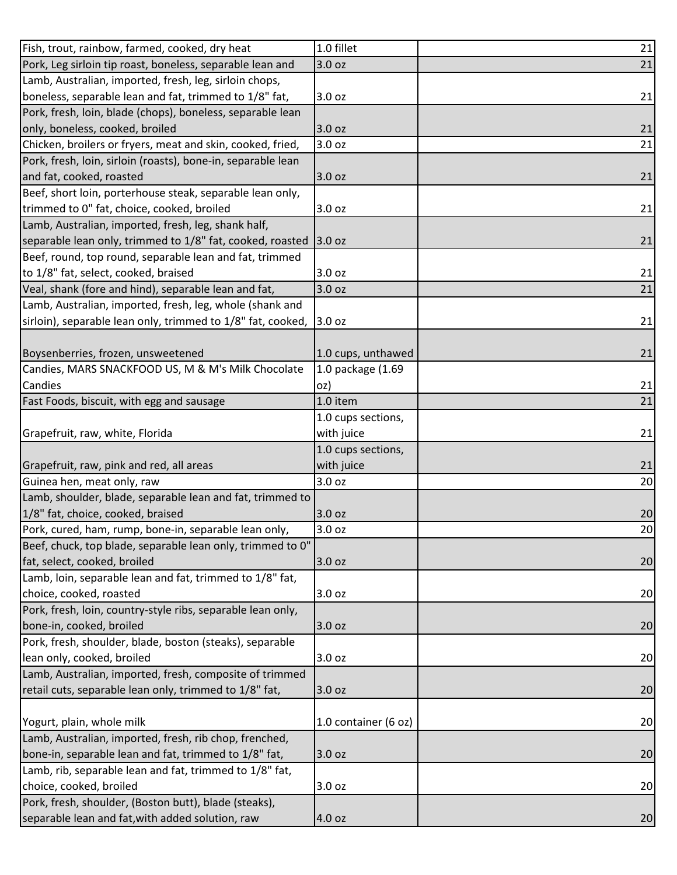| Fish, trout, rainbow, farmed, cooked, dry heat               | 1.0 fillet           | 21 |
|--------------------------------------------------------------|----------------------|----|
| Pork, Leg sirloin tip roast, boneless, separable lean and    | 3.0 oz               | 21 |
| Lamb, Australian, imported, fresh, leg, sirloin chops,       |                      |    |
| boneless, separable lean and fat, trimmed to 1/8" fat,       | 3.0 oz               | 21 |
| Pork, fresh, loin, blade (chops), boneless, separable lean   |                      |    |
| only, boneless, cooked, broiled                              | 3.0 oz               | 21 |
| Chicken, broilers or fryers, meat and skin, cooked, fried,   | 3.0 oz               | 21 |
| Pork, fresh, loin, sirloin (roasts), bone-in, separable lean |                      |    |
| and fat, cooked, roasted                                     | 3.0 oz               | 21 |
| Beef, short loin, porterhouse steak, separable lean only,    |                      |    |
| trimmed to 0" fat, choice, cooked, broiled                   | 3.0 oz               | 21 |
| Lamb, Australian, imported, fresh, leg, shank half,          |                      |    |
| separable lean only, trimmed to 1/8" fat, cooked, roasted    | 3.0 oz               | 21 |
| Beef, round, top round, separable lean and fat, trimmed      |                      |    |
| to 1/8" fat, select, cooked, braised                         | 3.0 oz               | 21 |
| Veal, shank (fore and hind), separable lean and fat,         | 3.0 oz               | 21 |
| Lamb, Australian, imported, fresh, leg, whole (shank and     |                      |    |
| sirloin), separable lean only, trimmed to 1/8" fat, cooked,  | 3.0 oz               | 21 |
|                                                              |                      |    |
| Boysenberries, frozen, unsweetened                           | 1.0 cups, unthawed   | 21 |
| Candies, MARS SNACKFOOD US, M & M's Milk Chocolate           | 1.0 package (1.69    |    |
| Candies                                                      | oz)                  | 21 |
| Fast Foods, biscuit, with egg and sausage                    | 1.0 item             | 21 |
|                                                              | 1.0 cups sections,   |    |
| Grapefruit, raw, white, Florida                              | with juice           | 21 |
|                                                              | 1.0 cups sections,   |    |
| Grapefruit, raw, pink and red, all areas                     | with juice           | 21 |
| Guinea hen, meat only, raw                                   | 3.0 oz               | 20 |
| Lamb, shoulder, blade, separable lean and fat, trimmed to    |                      |    |
| 1/8" fat, choice, cooked, braised                            | 3.0 oz               | 20 |
| Pork, cured, ham, rump, bone-in, separable lean only,        | 3.0 oz               | 20 |
| Beef, chuck, top blade, separable lean only, trimmed to 0"   |                      |    |
| fat, select, cooked, broiled                                 | 3.0 oz               | 20 |
| Lamb, loin, separable lean and fat, trimmed to 1/8" fat,     |                      |    |
| choice, cooked, roasted                                      | 3.0 oz               | 20 |
| Pork, fresh, loin, country-style ribs, separable lean only,  |                      |    |
| bone-in, cooked, broiled                                     | 3.0 oz               | 20 |
| Pork, fresh, shoulder, blade, boston (steaks), separable     |                      |    |
| lean only, cooked, broiled                                   | 3.0 oz               | 20 |
| Lamb, Australian, imported, fresh, composite of trimmed      |                      |    |
| retail cuts, separable lean only, trimmed to 1/8" fat,       | 3.0 oz               | 20 |
|                                                              |                      |    |
| Yogurt, plain, whole milk                                    | 1.0 container (6 oz) | 20 |
| Lamb, Australian, imported, fresh, rib chop, frenched,       |                      |    |
| bone-in, separable lean and fat, trimmed to 1/8" fat,        | 3.0 oz               | 20 |
| Lamb, rib, separable lean and fat, trimmed to 1/8" fat,      |                      |    |
| choice, cooked, broiled                                      | 3.0 oz               | 20 |
| Pork, fresh, shoulder, (Boston butt), blade (steaks),        |                      |    |
| separable lean and fat, with added solution, raw             | 4.0 oz               | 20 |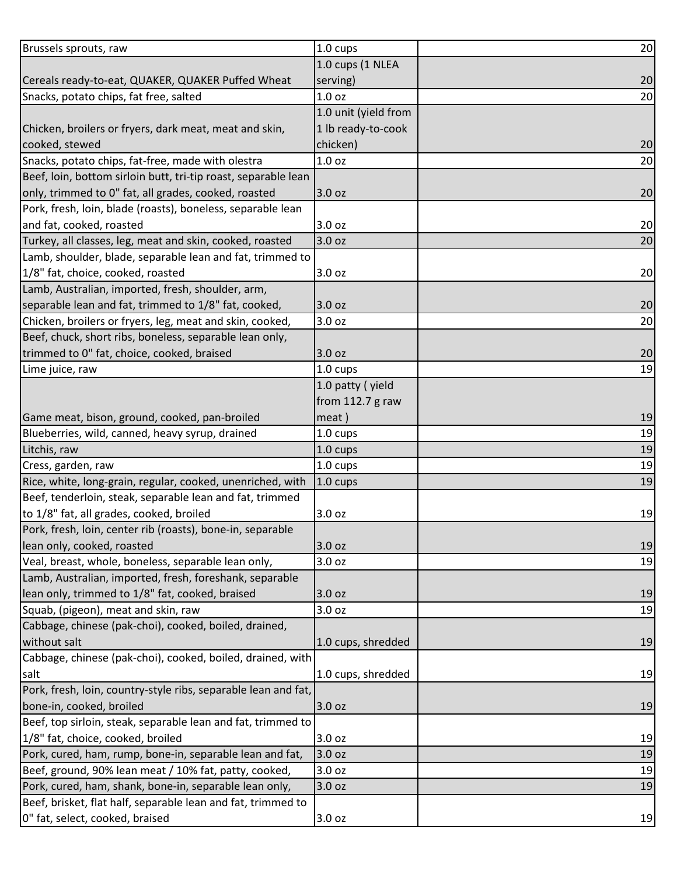| Brussels sprouts, raw                                          | 1.0 cups             | 20 |
|----------------------------------------------------------------|----------------------|----|
|                                                                | 1.0 cups (1 NLEA     |    |
| Cereals ready-to-eat, QUAKER, QUAKER Puffed Wheat              | serving)             | 20 |
| Snacks, potato chips, fat free, salted                         | 1.0 oz               | 20 |
|                                                                | 1.0 unit (yield from |    |
| Chicken, broilers or fryers, dark meat, meat and skin,         | 1 lb ready-to-cook   |    |
| cooked, stewed                                                 | chicken)             | 20 |
| Snacks, potato chips, fat-free, made with olestra              | 1.0 <sub>oz</sub>    | 20 |
| Beef, loin, bottom sirloin butt, tri-tip roast, separable lean |                      |    |
| only, trimmed to 0" fat, all grades, cooked, roasted           | 3.0 oz               | 20 |
| Pork, fresh, loin, blade (roasts), boneless, separable lean    |                      |    |
| and fat, cooked, roasted                                       | 3.0 oz               | 20 |
| Turkey, all classes, leg, meat and skin, cooked, roasted       | 3.0 oz               | 20 |
| Lamb, shoulder, blade, separable lean and fat, trimmed to      |                      |    |
| 1/8" fat, choice, cooked, roasted                              | 3.0 oz               | 20 |
| Lamb, Australian, imported, fresh, shoulder, arm,              |                      |    |
| separable lean and fat, trimmed to 1/8" fat, cooked,           | 3.0 oz               | 20 |
| Chicken, broilers or fryers, leg, meat and skin, cooked,       | 3.0 oz               | 20 |
| Beef, chuck, short ribs, boneless, separable lean only,        |                      |    |
| trimmed to 0" fat, choice, cooked, braised                     | 3.0 oz               | 20 |
| Lime juice, raw                                                | 1.0 cups             | 19 |
|                                                                | 1.0 patty (yield     |    |
|                                                                | from 112.7 g raw     |    |
| Game meat, bison, ground, cooked, pan-broiled                  | meat)                | 19 |
| Blueberries, wild, canned, heavy syrup, drained                | 1.0 cups             | 19 |
| Litchis, raw                                                   | 1.0 cups             | 19 |
| Cress, garden, raw                                             | 1.0 cups             | 19 |
| Rice, white, long-grain, regular, cooked, unenriched, with     | $1.0 \text{ cups}$   | 19 |
| Beef, tenderloin, steak, separable lean and fat, trimmed       |                      |    |
| to 1/8" fat, all grades, cooked, broiled                       | 3.0 oz               | 19 |
| Pork, fresh, loin, center rib (roasts), bone-in, separable     |                      |    |
| lean only, cooked, roasted                                     | 3.0 oz               | 19 |
| Veal, breast, whole, boneless, separable lean only,            | 3.0 oz               | 19 |
| Lamb, Australian, imported, fresh, foreshank, separable        |                      |    |
| lean only, trimmed to 1/8" fat, cooked, braised                | 3.0 oz               | 19 |
| Squab, (pigeon), meat and skin, raw                            | 3.0 oz               | 19 |
| Cabbage, chinese (pak-choi), cooked, boiled, drained,          |                      |    |
| without salt                                                   | 1.0 cups, shredded   | 19 |
| Cabbage, chinese (pak-choi), cooked, boiled, drained, with     |                      |    |
| salt                                                           | 1.0 cups, shredded   | 19 |
| Pork, fresh, loin, country-style ribs, separable lean and fat, |                      |    |
| bone-in, cooked, broiled                                       | 3.0 oz               | 19 |
| Beef, top sirloin, steak, separable lean and fat, trimmed to   |                      |    |
| 1/8" fat, choice, cooked, broiled                              | 3.0 oz               | 19 |
| Pork, cured, ham, rump, bone-in, separable lean and fat,       | 3.0 oz               | 19 |
| Beef, ground, 90% lean meat / 10% fat, patty, cooked,          | 3.0 oz               | 19 |
| Pork, cured, ham, shank, bone-in, separable lean only,         | 3.0 oz               | 19 |
| Beef, brisket, flat half, separable lean and fat, trimmed to   |                      |    |
| 0" fat, select, cooked, braised                                | 3.0 oz               | 19 |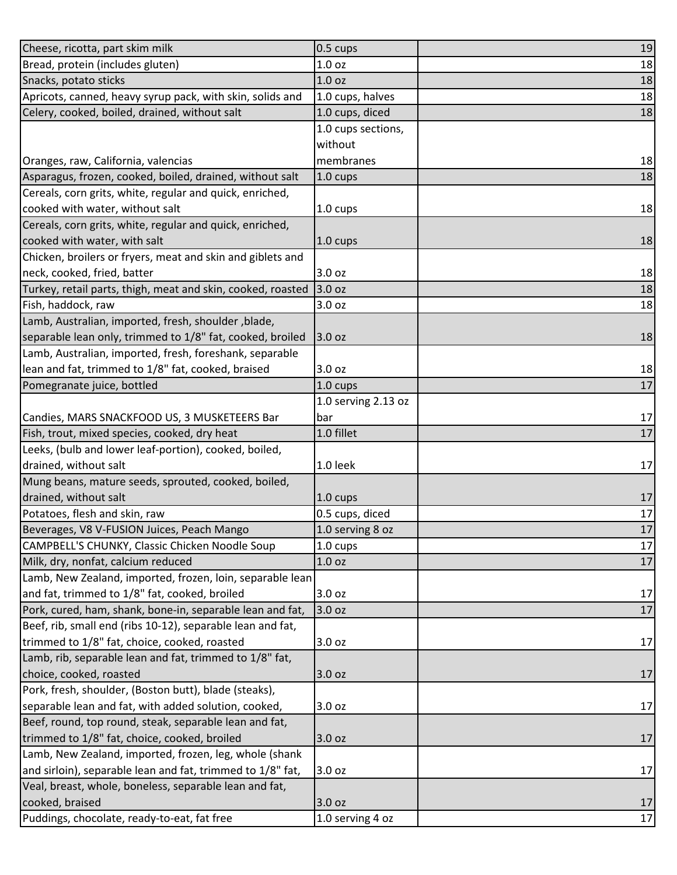| 1.0 oz<br>18<br>1.0 <sub>oz</sub><br>18<br>18<br>1.0 cups, halves<br>1.0 cups, diced<br>18<br>1.0 cups sections,<br>without<br>membranes<br>18<br>1.0 cups<br>1.0 cups<br>1.0 cups<br>neck, cooked, fried, batter<br>3.0 oz<br>3.0 oz<br>Turkey, retail parts, thigh, meat and skin, cooked, roasted<br>Fish, haddock, raw<br>3.0 oz<br>Lamb, Australian, imported, fresh, shoulder, blade,<br>separable lean only, trimmed to 1/8" fat, cooked, broiled<br>3.0 oz<br>Lamb, Australian, imported, fresh, foreshank, separable<br>lean and fat, trimmed to 1/8" fat, cooked, braised<br>3.0 oz<br>17<br>Pomegranate juice, bottled<br>1.0 cups<br>1.0 serving 2.13 oz<br>Candies, MARS SNACKFOOD US, 3 MUSKETEERS Bar<br>bar<br>1.0 fillet<br>Fish, trout, mixed species, cooked, dry heat<br>Leeks, (bulb and lower leaf-portion), cooked, boiled,<br>drained, without salt<br>1.0 leek<br>Mung beans, mature seeds, sprouted, cooked, boiled,<br>drained, without salt<br>1.0 cups<br>Potatoes, flesh and skin, raw<br>0.5 cups, diced<br>17<br>Beverages, V8 V-FUSION Juices, Peach Mango<br>1.0 serving 8 oz<br>CAMPBELL'S CHUNKY, Classic Chicken Noodle Soup<br>17<br>1.0 cups<br>Milk, dry, nonfat, calcium reduced<br>1.0 oz<br>Lamb, New Zealand, imported, frozen, loin, separable lean<br>and fat, trimmed to 1/8" fat, cooked, broiled<br>3.0 <sub>oz</sub><br>17<br>Pork, cured, ham, shank, bone-in, separable lean and fat,<br>$17\,$<br>3.0 oz<br>Beef, rib, small end (ribs 10-12), separable lean and fat,<br>trimmed to 1/8" fat, choice, cooked, roasted<br>3.0 oz<br>Lamb, rib, separable lean and fat, trimmed to 1/8" fat,<br>choice, cooked, roasted<br>3.0 <sub>oz</sub><br>Pork, fresh, shoulder, (Boston butt), blade (steaks),<br>separable lean and fat, with added solution, cooked,<br>3.0 oz<br>Beef, round, top round, steak, separable lean and fat, | Cheese, ricotta, part skim milk                            | 0.5 cups | 19 |
|---------------------------------------------------------------------------------------------------------------------------------------------------------------------------------------------------------------------------------------------------------------------------------------------------------------------------------------------------------------------------------------------------------------------------------------------------------------------------------------------------------------------------------------------------------------------------------------------------------------------------------------------------------------------------------------------------------------------------------------------------------------------------------------------------------------------------------------------------------------------------------------------------------------------------------------------------------------------------------------------------------------------------------------------------------------------------------------------------------------------------------------------------------------------------------------------------------------------------------------------------------------------------------------------------------------------------------------------------------------------------------------------------------------------------------------------------------------------------------------------------------------------------------------------------------------------------------------------------------------------------------------------------------------------------------------------------------------------------------------------------------------------------------------------------------------------------------------------------------------------------------------|------------------------------------------------------------|----------|----|
|                                                                                                                                                                                                                                                                                                                                                                                                                                                                                                                                                                                                                                                                                                                                                                                                                                                                                                                                                                                                                                                                                                                                                                                                                                                                                                                                                                                                                                                                                                                                                                                                                                                                                                                                                                                                                                                                                       | Bread, protein (includes gluten)                           |          |    |
|                                                                                                                                                                                                                                                                                                                                                                                                                                                                                                                                                                                                                                                                                                                                                                                                                                                                                                                                                                                                                                                                                                                                                                                                                                                                                                                                                                                                                                                                                                                                                                                                                                                                                                                                                                                                                                                                                       | Snacks, potato sticks                                      |          |    |
|                                                                                                                                                                                                                                                                                                                                                                                                                                                                                                                                                                                                                                                                                                                                                                                                                                                                                                                                                                                                                                                                                                                                                                                                                                                                                                                                                                                                                                                                                                                                                                                                                                                                                                                                                                                                                                                                                       | Apricots, canned, heavy syrup pack, with skin, solids and  |          |    |
|                                                                                                                                                                                                                                                                                                                                                                                                                                                                                                                                                                                                                                                                                                                                                                                                                                                                                                                                                                                                                                                                                                                                                                                                                                                                                                                                                                                                                                                                                                                                                                                                                                                                                                                                                                                                                                                                                       | Celery, cooked, boiled, drained, without salt              |          |    |
|                                                                                                                                                                                                                                                                                                                                                                                                                                                                                                                                                                                                                                                                                                                                                                                                                                                                                                                                                                                                                                                                                                                                                                                                                                                                                                                                                                                                                                                                                                                                                                                                                                                                                                                                                                                                                                                                                       |                                                            |          |    |
|                                                                                                                                                                                                                                                                                                                                                                                                                                                                                                                                                                                                                                                                                                                                                                                                                                                                                                                                                                                                                                                                                                                                                                                                                                                                                                                                                                                                                                                                                                                                                                                                                                                                                                                                                                                                                                                                                       |                                                            |          |    |
|                                                                                                                                                                                                                                                                                                                                                                                                                                                                                                                                                                                                                                                                                                                                                                                                                                                                                                                                                                                                                                                                                                                                                                                                                                                                                                                                                                                                                                                                                                                                                                                                                                                                                                                                                                                                                                                                                       | Oranges, raw, California, valencias                        |          |    |
| 18<br>18<br>18<br>18<br>18<br>18<br>18<br>17<br>17<br>17<br>17<br>17<br>17<br>17<br>17<br>17                                                                                                                                                                                                                                                                                                                                                                                                                                                                                                                                                                                                                                                                                                                                                                                                                                                                                                                                                                                                                                                                                                                                                                                                                                                                                                                                                                                                                                                                                                                                                                                                                                                                                                                                                                                          | Asparagus, frozen, cooked, boiled, drained, without salt   |          | 18 |
|                                                                                                                                                                                                                                                                                                                                                                                                                                                                                                                                                                                                                                                                                                                                                                                                                                                                                                                                                                                                                                                                                                                                                                                                                                                                                                                                                                                                                                                                                                                                                                                                                                                                                                                                                                                                                                                                                       | Cereals, corn grits, white, regular and quick, enriched,   |          |    |
|                                                                                                                                                                                                                                                                                                                                                                                                                                                                                                                                                                                                                                                                                                                                                                                                                                                                                                                                                                                                                                                                                                                                                                                                                                                                                                                                                                                                                                                                                                                                                                                                                                                                                                                                                                                                                                                                                       | cooked with water, without salt                            |          |    |
|                                                                                                                                                                                                                                                                                                                                                                                                                                                                                                                                                                                                                                                                                                                                                                                                                                                                                                                                                                                                                                                                                                                                                                                                                                                                                                                                                                                                                                                                                                                                                                                                                                                                                                                                                                                                                                                                                       | Cereals, corn grits, white, regular and quick, enriched,   |          |    |
|                                                                                                                                                                                                                                                                                                                                                                                                                                                                                                                                                                                                                                                                                                                                                                                                                                                                                                                                                                                                                                                                                                                                                                                                                                                                                                                                                                                                                                                                                                                                                                                                                                                                                                                                                                                                                                                                                       | cooked with water, with salt                               |          |    |
|                                                                                                                                                                                                                                                                                                                                                                                                                                                                                                                                                                                                                                                                                                                                                                                                                                                                                                                                                                                                                                                                                                                                                                                                                                                                                                                                                                                                                                                                                                                                                                                                                                                                                                                                                                                                                                                                                       | Chicken, broilers or fryers, meat and skin and giblets and |          |    |
|                                                                                                                                                                                                                                                                                                                                                                                                                                                                                                                                                                                                                                                                                                                                                                                                                                                                                                                                                                                                                                                                                                                                                                                                                                                                                                                                                                                                                                                                                                                                                                                                                                                                                                                                                                                                                                                                                       |                                                            |          |    |
|                                                                                                                                                                                                                                                                                                                                                                                                                                                                                                                                                                                                                                                                                                                                                                                                                                                                                                                                                                                                                                                                                                                                                                                                                                                                                                                                                                                                                                                                                                                                                                                                                                                                                                                                                                                                                                                                                       |                                                            |          |    |
|                                                                                                                                                                                                                                                                                                                                                                                                                                                                                                                                                                                                                                                                                                                                                                                                                                                                                                                                                                                                                                                                                                                                                                                                                                                                                                                                                                                                                                                                                                                                                                                                                                                                                                                                                                                                                                                                                       |                                                            |          |    |
|                                                                                                                                                                                                                                                                                                                                                                                                                                                                                                                                                                                                                                                                                                                                                                                                                                                                                                                                                                                                                                                                                                                                                                                                                                                                                                                                                                                                                                                                                                                                                                                                                                                                                                                                                                                                                                                                                       |                                                            |          |    |
|                                                                                                                                                                                                                                                                                                                                                                                                                                                                                                                                                                                                                                                                                                                                                                                                                                                                                                                                                                                                                                                                                                                                                                                                                                                                                                                                                                                                                                                                                                                                                                                                                                                                                                                                                                                                                                                                                       |                                                            |          |    |
|                                                                                                                                                                                                                                                                                                                                                                                                                                                                                                                                                                                                                                                                                                                                                                                                                                                                                                                                                                                                                                                                                                                                                                                                                                                                                                                                                                                                                                                                                                                                                                                                                                                                                                                                                                                                                                                                                       |                                                            |          |    |
|                                                                                                                                                                                                                                                                                                                                                                                                                                                                                                                                                                                                                                                                                                                                                                                                                                                                                                                                                                                                                                                                                                                                                                                                                                                                                                                                                                                                                                                                                                                                                                                                                                                                                                                                                                                                                                                                                       |                                                            |          |    |
|                                                                                                                                                                                                                                                                                                                                                                                                                                                                                                                                                                                                                                                                                                                                                                                                                                                                                                                                                                                                                                                                                                                                                                                                                                                                                                                                                                                                                                                                                                                                                                                                                                                                                                                                                                                                                                                                                       |                                                            |          |    |
|                                                                                                                                                                                                                                                                                                                                                                                                                                                                                                                                                                                                                                                                                                                                                                                                                                                                                                                                                                                                                                                                                                                                                                                                                                                                                                                                                                                                                                                                                                                                                                                                                                                                                                                                                                                                                                                                                       |                                                            |          |    |
|                                                                                                                                                                                                                                                                                                                                                                                                                                                                                                                                                                                                                                                                                                                                                                                                                                                                                                                                                                                                                                                                                                                                                                                                                                                                                                                                                                                                                                                                                                                                                                                                                                                                                                                                                                                                                                                                                       |                                                            |          |    |
|                                                                                                                                                                                                                                                                                                                                                                                                                                                                                                                                                                                                                                                                                                                                                                                                                                                                                                                                                                                                                                                                                                                                                                                                                                                                                                                                                                                                                                                                                                                                                                                                                                                                                                                                                                                                                                                                                       |                                                            |          |    |
|                                                                                                                                                                                                                                                                                                                                                                                                                                                                                                                                                                                                                                                                                                                                                                                                                                                                                                                                                                                                                                                                                                                                                                                                                                                                                                                                                                                                                                                                                                                                                                                                                                                                                                                                                                                                                                                                                       |                                                            |          |    |
|                                                                                                                                                                                                                                                                                                                                                                                                                                                                                                                                                                                                                                                                                                                                                                                                                                                                                                                                                                                                                                                                                                                                                                                                                                                                                                                                                                                                                                                                                                                                                                                                                                                                                                                                                                                                                                                                                       |                                                            |          |    |
|                                                                                                                                                                                                                                                                                                                                                                                                                                                                                                                                                                                                                                                                                                                                                                                                                                                                                                                                                                                                                                                                                                                                                                                                                                                                                                                                                                                                                                                                                                                                                                                                                                                                                                                                                                                                                                                                                       |                                                            |          |    |
|                                                                                                                                                                                                                                                                                                                                                                                                                                                                                                                                                                                                                                                                                                                                                                                                                                                                                                                                                                                                                                                                                                                                                                                                                                                                                                                                                                                                                                                                                                                                                                                                                                                                                                                                                                                                                                                                                       |                                                            |          |    |
|                                                                                                                                                                                                                                                                                                                                                                                                                                                                                                                                                                                                                                                                                                                                                                                                                                                                                                                                                                                                                                                                                                                                                                                                                                                                                                                                                                                                                                                                                                                                                                                                                                                                                                                                                                                                                                                                                       |                                                            |          |    |
|                                                                                                                                                                                                                                                                                                                                                                                                                                                                                                                                                                                                                                                                                                                                                                                                                                                                                                                                                                                                                                                                                                                                                                                                                                                                                                                                                                                                                                                                                                                                                                                                                                                                                                                                                                                                                                                                                       |                                                            |          |    |
|                                                                                                                                                                                                                                                                                                                                                                                                                                                                                                                                                                                                                                                                                                                                                                                                                                                                                                                                                                                                                                                                                                                                                                                                                                                                                                                                                                                                                                                                                                                                                                                                                                                                                                                                                                                                                                                                                       |                                                            |          |    |
|                                                                                                                                                                                                                                                                                                                                                                                                                                                                                                                                                                                                                                                                                                                                                                                                                                                                                                                                                                                                                                                                                                                                                                                                                                                                                                                                                                                                                                                                                                                                                                                                                                                                                                                                                                                                                                                                                       |                                                            |          |    |
|                                                                                                                                                                                                                                                                                                                                                                                                                                                                                                                                                                                                                                                                                                                                                                                                                                                                                                                                                                                                                                                                                                                                                                                                                                                                                                                                                                                                                                                                                                                                                                                                                                                                                                                                                                                                                                                                                       |                                                            |          |    |
|                                                                                                                                                                                                                                                                                                                                                                                                                                                                                                                                                                                                                                                                                                                                                                                                                                                                                                                                                                                                                                                                                                                                                                                                                                                                                                                                                                                                                                                                                                                                                                                                                                                                                                                                                                                                                                                                                       |                                                            |          |    |
|                                                                                                                                                                                                                                                                                                                                                                                                                                                                                                                                                                                                                                                                                                                                                                                                                                                                                                                                                                                                                                                                                                                                                                                                                                                                                                                                                                                                                                                                                                                                                                                                                                                                                                                                                                                                                                                                                       |                                                            |          |    |
|                                                                                                                                                                                                                                                                                                                                                                                                                                                                                                                                                                                                                                                                                                                                                                                                                                                                                                                                                                                                                                                                                                                                                                                                                                                                                                                                                                                                                                                                                                                                                                                                                                                                                                                                                                                                                                                                                       |                                                            |          |    |
|                                                                                                                                                                                                                                                                                                                                                                                                                                                                                                                                                                                                                                                                                                                                                                                                                                                                                                                                                                                                                                                                                                                                                                                                                                                                                                                                                                                                                                                                                                                                                                                                                                                                                                                                                                                                                                                                                       |                                                            |          |    |
|                                                                                                                                                                                                                                                                                                                                                                                                                                                                                                                                                                                                                                                                                                                                                                                                                                                                                                                                                                                                                                                                                                                                                                                                                                                                                                                                                                                                                                                                                                                                                                                                                                                                                                                                                                                                                                                                                       |                                                            |          |    |
|                                                                                                                                                                                                                                                                                                                                                                                                                                                                                                                                                                                                                                                                                                                                                                                                                                                                                                                                                                                                                                                                                                                                                                                                                                                                                                                                                                                                                                                                                                                                                                                                                                                                                                                                                                                                                                                                                       |                                                            |          |    |
|                                                                                                                                                                                                                                                                                                                                                                                                                                                                                                                                                                                                                                                                                                                                                                                                                                                                                                                                                                                                                                                                                                                                                                                                                                                                                                                                                                                                                                                                                                                                                                                                                                                                                                                                                                                                                                                                                       |                                                            |          |    |
|                                                                                                                                                                                                                                                                                                                                                                                                                                                                                                                                                                                                                                                                                                                                                                                                                                                                                                                                                                                                                                                                                                                                                                                                                                                                                                                                                                                                                                                                                                                                                                                                                                                                                                                                                                                                                                                                                       |                                                            |          |    |
|                                                                                                                                                                                                                                                                                                                                                                                                                                                                                                                                                                                                                                                                                                                                                                                                                                                                                                                                                                                                                                                                                                                                                                                                                                                                                                                                                                                                                                                                                                                                                                                                                                                                                                                                                                                                                                                                                       |                                                            |          |    |
|                                                                                                                                                                                                                                                                                                                                                                                                                                                                                                                                                                                                                                                                                                                                                                                                                                                                                                                                                                                                                                                                                                                                                                                                                                                                                                                                                                                                                                                                                                                                                                                                                                                                                                                                                                                                                                                                                       | trimmed to 1/8" fat, choice, cooked, broiled               | 3.0 oz   | 17 |
|                                                                                                                                                                                                                                                                                                                                                                                                                                                                                                                                                                                                                                                                                                                                                                                                                                                                                                                                                                                                                                                                                                                                                                                                                                                                                                                                                                                                                                                                                                                                                                                                                                                                                                                                                                                                                                                                                       | Lamb, New Zealand, imported, frozen, leg, whole (shank     |          |    |
| 17<br>3.0 oz                                                                                                                                                                                                                                                                                                                                                                                                                                                                                                                                                                                                                                                                                                                                                                                                                                                                                                                                                                                                                                                                                                                                                                                                                                                                                                                                                                                                                                                                                                                                                                                                                                                                                                                                                                                                                                                                          | and sirloin), separable lean and fat, trimmed to 1/8" fat, |          |    |
|                                                                                                                                                                                                                                                                                                                                                                                                                                                                                                                                                                                                                                                                                                                                                                                                                                                                                                                                                                                                                                                                                                                                                                                                                                                                                                                                                                                                                                                                                                                                                                                                                                                                                                                                                                                                                                                                                       | Veal, breast, whole, boneless, separable lean and fat,     |          |    |
| 3.0 oz<br>17                                                                                                                                                                                                                                                                                                                                                                                                                                                                                                                                                                                                                                                                                                                                                                                                                                                                                                                                                                                                                                                                                                                                                                                                                                                                                                                                                                                                                                                                                                                                                                                                                                                                                                                                                                                                                                                                          | cooked, braised                                            |          |    |
| 17<br>1.0 serving 4 oz                                                                                                                                                                                                                                                                                                                                                                                                                                                                                                                                                                                                                                                                                                                                                                                                                                                                                                                                                                                                                                                                                                                                                                                                                                                                                                                                                                                                                                                                                                                                                                                                                                                                                                                                                                                                                                                                | Puddings, chocolate, ready-to-eat, fat free                |          |    |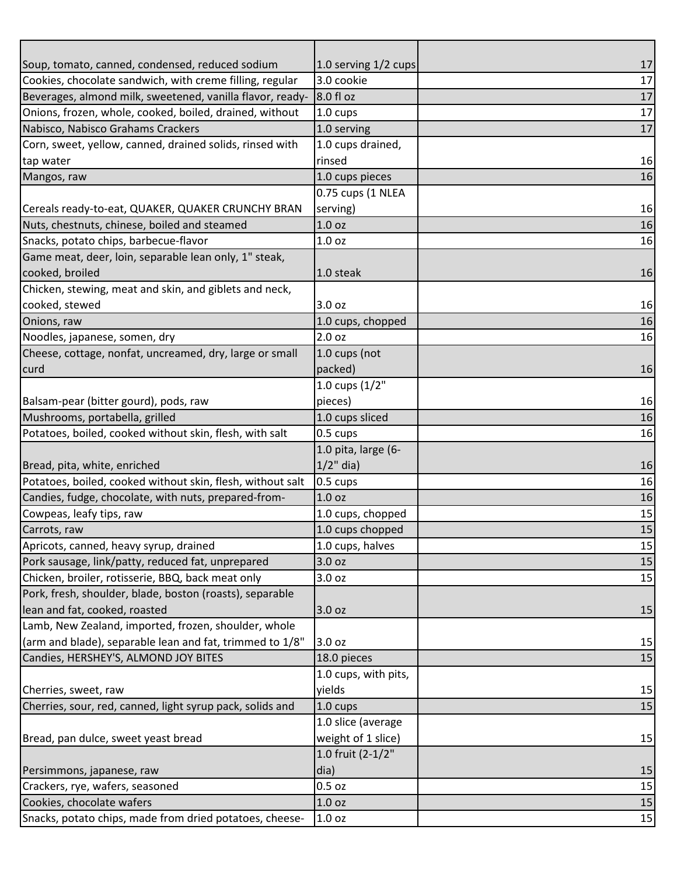| Soup, tomato, canned, condensed, reduced sodium            | 1.0 serving 1/2 cups | 17 |
|------------------------------------------------------------|----------------------|----|
| Cookies, chocolate sandwich, with creme filling, regular   | 3.0 cookie           | 17 |
| Beverages, almond milk, sweetened, vanilla flavor, ready-  | 8.0 fl oz            | 17 |
| Onions, frozen, whole, cooked, boiled, drained, without    | 1.0 cups             | 17 |
| Nabisco, Nabisco Grahams Crackers                          | 1.0 serving          | 17 |
| Corn, sweet, yellow, canned, drained solids, rinsed with   | 1.0 cups drained,    |    |
| tap water                                                  | rinsed               | 16 |
| Mangos, raw                                                | 1.0 cups pieces      | 16 |
|                                                            | 0.75 cups (1 NLEA    |    |
| Cereals ready-to-eat, QUAKER, QUAKER CRUNCHY BRAN          | serving)             | 16 |
| Nuts, chestnuts, chinese, boiled and steamed               | 1.0 <sub>oz</sub>    | 16 |
| Snacks, potato chips, barbecue-flavor                      | 1.0 oz               | 16 |
| Game meat, deer, loin, separable lean only, 1" steak,      |                      |    |
| cooked, broiled                                            | 1.0 steak            | 16 |
| Chicken, stewing, meat and skin, and giblets and neck,     |                      |    |
| cooked, stewed                                             | 3.0 oz               | 16 |
| Onions, raw                                                | 1.0 cups, chopped    | 16 |
| Noodles, japanese, somen, dry                              | 2.0 oz               | 16 |
| Cheese, cottage, nonfat, uncreamed, dry, large or small    | 1.0 cups (not        |    |
| curd                                                       | packed)              | 16 |
|                                                            | 1.0 cups $(1/2"$     |    |
| Balsam-pear (bitter gourd), pods, raw                      | pieces)              | 16 |
| Mushrooms, portabella, grilled                             | 1.0 cups sliced      | 16 |
| Potatoes, boiled, cooked without skin, flesh, with salt    | 0.5 cups             | 16 |
|                                                            | 1.0 pita, large (6-  |    |
| Bread, pita, white, enriched                               | $1/2$ " dia)         | 16 |
| Potatoes, boiled, cooked without skin, flesh, without salt | 0.5 cups             | 16 |
| Candies, fudge, chocolate, with nuts, prepared-from-       | 1.0 <sub>oz</sub>    | 16 |
| Cowpeas, leafy tips, raw                                   | 1.0 cups, chopped    | 15 |
| Carrots, raw                                               | 1.0 cups chopped     | 15 |
| Apricots, canned, heavy syrup, drained                     | 1.0 cups, halves     | 15 |
| Pork sausage, link/patty, reduced fat, unprepared          | 3.0 oz               | 15 |
| Chicken, broiler, rotisserie, BBQ, back meat only          | 3.0 oz               | 15 |
| Pork, fresh, shoulder, blade, boston (roasts), separable   |                      |    |
| lean and fat, cooked, roasted                              | 3.0 oz               | 15 |
| Lamb, New Zealand, imported, frozen, shoulder, whole       |                      |    |
| (arm and blade), separable lean and fat, trimmed to 1/8"   | 3.0 oz               | 15 |
| Candies, HERSHEY'S, ALMOND JOY BITES                       | 18.0 pieces          | 15 |
|                                                            | 1.0 cups, with pits, |    |
| Cherries, sweet, raw                                       | yields               | 15 |
| Cherries, sour, red, canned, light syrup pack, solids and  | 1.0 cups             | 15 |
|                                                            | 1.0 slice (average   |    |
| Bread, pan dulce, sweet yeast bread                        | weight of 1 slice)   | 15 |
|                                                            | 1.0 fruit (2-1/2"    |    |
| Persimmons, japanese, raw                                  | dia)                 | 15 |
| Crackers, rye, wafers, seasoned                            | $0.5$ oz             | 15 |
| Cookies, chocolate wafers                                  | 1.0 oz               | 15 |
| Snacks, potato chips, made from dried potatoes, cheese-    | 1.0 oz               | 15 |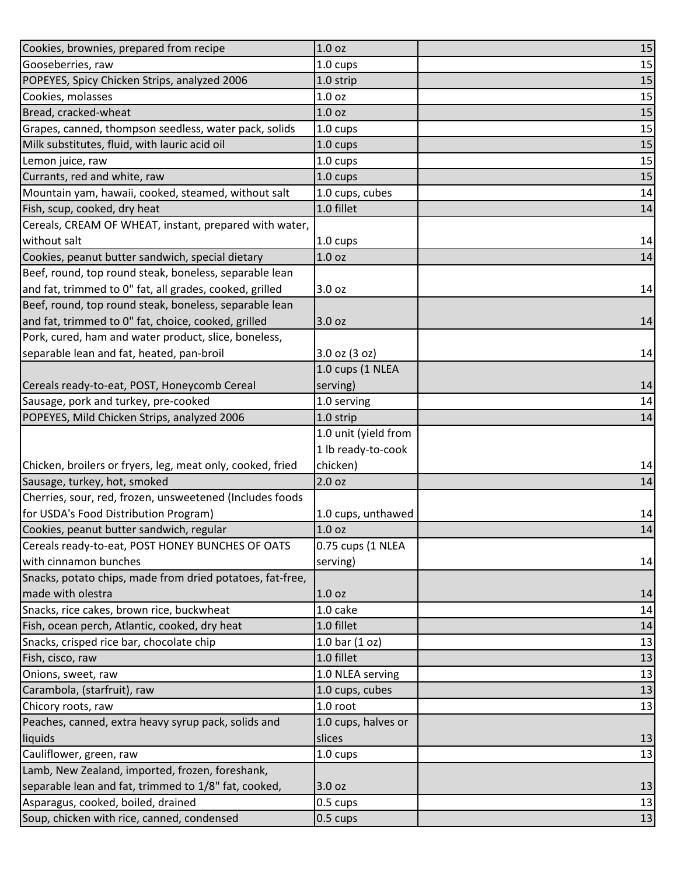| Cookies, brownies, prepared from recipe                    | 1.0 oz               | 15 |
|------------------------------------------------------------|----------------------|----|
| Gooseberries, raw                                          | 1.0 cups             | 15 |
| POPEYES, Spicy Chicken Strips, analyzed 2006               | 1.0 strip            | 15 |
| Cookies, molasses                                          | 1.0 oz               | 15 |
| Bread, cracked-wheat                                       | 1.0 oz               | 15 |
| Grapes, canned, thompson seedless, water pack, solids      | 1.0 cups             | 15 |
| Milk substitutes, fluid, with lauric acid oil              | 1.0 cups             | 15 |
| Lemon juice, raw                                           | 1.0 cups             | 15 |
| Currants, red and white, raw                               | 1.0 cups             | 15 |
| Mountain yam, hawaii, cooked, steamed, without salt        | 1.0 cups, cubes      | 14 |
| Fish, scup, cooked, dry heat                               | 1.0 fillet           | 14 |
| Cereals, CREAM OF WHEAT, instant, prepared with water,     |                      |    |
| without salt                                               | 1.0 cups             | 14 |
| Cookies, peanut butter sandwich, special dietary           | 1.0 <sub>oz</sub>    | 14 |
| Beef, round, top round steak, boneless, separable lean     |                      |    |
| and fat, trimmed to 0" fat, all grades, cooked, grilled    | 3.0 oz               | 14 |
| Beef, round, top round steak, boneless, separable lean     |                      |    |
| and fat, trimmed to 0" fat, choice, cooked, grilled        | 3.0 oz               | 14 |
| Pork, cured, ham and water product, slice, boneless,       |                      |    |
| separable lean and fat, heated, pan-broil                  | $3.0$ oz $(3$ oz)    | 14 |
|                                                            | 1.0 cups (1 NLEA     |    |
| Cereals ready-to-eat, POST, Honeycomb Cereal               | serving)             | 14 |
| Sausage, pork and turkey, pre-cooked                       | 1.0 serving          | 14 |
| POPEYES, Mild Chicken Strips, analyzed 2006                | 1.0 strip            | 14 |
|                                                            | 1.0 unit (yield from |    |
|                                                            | 1 lb ready-to-cook   |    |
| Chicken, broilers or fryers, leg, meat only, cooked, fried | chicken)             | 14 |
| Sausage, turkey, hot, smoked                               | 2.0 oz               | 14 |
| Cherries, sour, red, frozen, unsweetened (Includes foods   |                      |    |
| for USDA's Food Distribution Program)                      | 1.0 cups, unthawed   | 14 |
| Cookies, peanut butter sandwich, regular                   | 1.0 oz               | 14 |
| Cereals ready-to-eat, POST HONEY BUNCHES OF OATS           | 0.75 cups (1 NLEA    |    |
| with cinnamon bunches                                      | serving)             | 14 |
| Snacks, potato chips, made from dried potatoes, fat-free,  |                      |    |
| made with olestra                                          | 1.0 oz               | 14 |
| Snacks, rice cakes, brown rice, buckwheat                  | 1.0 cake             | 14 |
| Fish, ocean perch, Atlantic, cooked, dry heat              | 1.0 fillet           | 14 |
| Snacks, crisped rice bar, chocolate chip                   | 1.0 bar $(1 oz)$     | 13 |
| Fish, cisco, raw                                           | 1.0 fillet           | 13 |
| Onions, sweet, raw                                         | 1.0 NLEA serving     | 13 |
| Carambola, (starfruit), raw                                | 1.0 cups, cubes      | 13 |
| Chicory roots, raw                                         | 1.0 root             | 13 |
| Peaches, canned, extra heavy syrup pack, solids and        | 1.0 cups, halves or  |    |
| liquids                                                    | slices               | 13 |
| Cauliflower, green, raw                                    | 1.0 cups             | 13 |
| Lamb, New Zealand, imported, frozen, foreshank,            |                      |    |
| separable lean and fat, trimmed to 1/8" fat, cooked,       | 3.0 oz               | 13 |
| Asparagus, cooked, boiled, drained                         | 0.5 cups             | 13 |
| Soup, chicken with rice, canned, condensed                 | 0.5 cups             | 13 |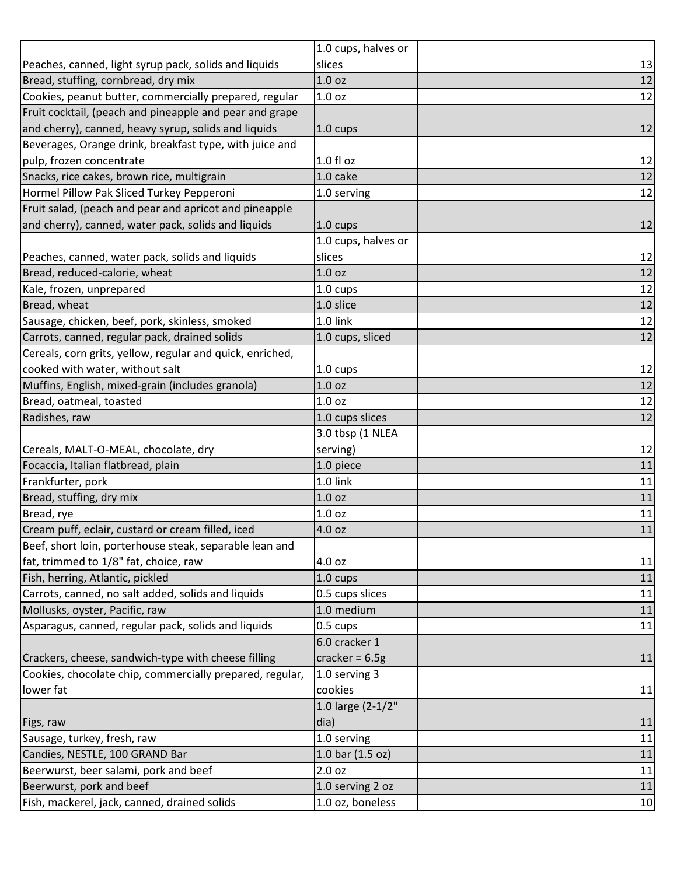|                                                           | 1.0 cups, halves or |        |
|-----------------------------------------------------------|---------------------|--------|
| Peaches, canned, light syrup pack, solids and liquids     | slices              | 13     |
| Bread, stuffing, cornbread, dry mix                       | 1.0 <sub>oz</sub>   | 12     |
| Cookies, peanut butter, commercially prepared, regular    | 1.0 <sub>oz</sub>   | 12     |
| Fruit cocktail, (peach and pineapple and pear and grape   |                     |        |
| and cherry), canned, heavy syrup, solids and liquids      | $1.0 \text{ cups}$  | 12     |
| Beverages, Orange drink, breakfast type, with juice and   |                     |        |
| pulp, frozen concentrate                                  | $1.0 f$ l oz        | 12     |
| Snacks, rice cakes, brown rice, multigrain                | 1.0 cake            | 12     |
| Hormel Pillow Pak Sliced Turkey Pepperoni                 | 1.0 serving         | 12     |
| Fruit salad, (peach and pear and apricot and pineapple    |                     |        |
| and cherry), canned, water pack, solids and liquids       | $1.0 \text{ cups}$  | 12     |
|                                                           | 1.0 cups, halves or |        |
| Peaches, canned, water pack, solids and liquids           | slices              | 12     |
| Bread, reduced-calorie, wheat                             | 1.0 <sub>oz</sub>   | 12     |
| Kale, frozen, unprepared                                  | 1.0 cups            | 12     |
| Bread, wheat                                              | 1.0 slice           | 12     |
| Sausage, chicken, beef, pork, skinless, smoked            | 1.0 link            | 12     |
| Carrots, canned, regular pack, drained solids             | 1.0 cups, sliced    | 12     |
| Cereals, corn grits, yellow, regular and quick, enriched, |                     |        |
| cooked with water, without salt                           | 1.0 cups            | 12     |
| Muffins, English, mixed-grain (includes granola)          | 1.0 oz              | 12     |
| Bread, oatmeal, toasted                                   | 1.0 oz              | 12     |
| Radishes, raw                                             | 1.0 cups slices     | 12     |
|                                                           | 3.0 tbsp (1 NLEA    |        |
| Cereals, MALT-O-MEAL, chocolate, dry                      | serving)            | 12     |
| Focaccia, Italian flatbread, plain                        | 1.0 piece           | 11     |
| Frankfurter, pork                                         | 1.0 link            | 11     |
| Bread, stuffing, dry mix                                  | 1.0 <sub>oz</sub>   | 11     |
| Bread, rye                                                | 1.0 oz              | 11     |
| Cream puff, eclair, custard or cream filled, iced         | 4.0 oz              | $11\,$ |
| Beef, short loin, porterhouse steak, separable lean and   |                     |        |
| fat, trimmed to 1/8" fat, choice, raw                     | 4.0 oz              | 11     |
| Fish, herring, Atlantic, pickled                          | 1.0 cups            | 11     |
| Carrots, canned, no salt added, solids and liquids        | 0.5 cups slices     | 11     |
| Mollusks, oyster, Pacific, raw                            | 1.0 medium          | 11     |
| Asparagus, canned, regular pack, solids and liquids       | 0.5 cups            | 11     |
|                                                           | 6.0 cracker 1       |        |
| Crackers, cheese, sandwich-type with cheese filling       | cracker = $6.5g$    | 11     |
| Cookies, chocolate chip, commercially prepared, regular,  | 1.0 serving 3       |        |
| lower fat                                                 | cookies             | 11     |
|                                                           | 1.0 large (2-1/2"   |        |
| Figs, raw                                                 | dia)                | 11     |
| Sausage, turkey, fresh, raw                               | 1.0 serving         | 11     |
| Candies, NESTLE, 100 GRAND Bar                            | 1.0 bar (1.5 oz)    | 11     |
| Beerwurst, beer salami, pork and beef                     | 2.0 oz              | 11     |
| Beerwurst, pork and beef                                  | 1.0 serving 2 oz    | 11     |
| Fish, mackerel, jack, canned, drained solids              | 1.0 oz, boneless    | 10     |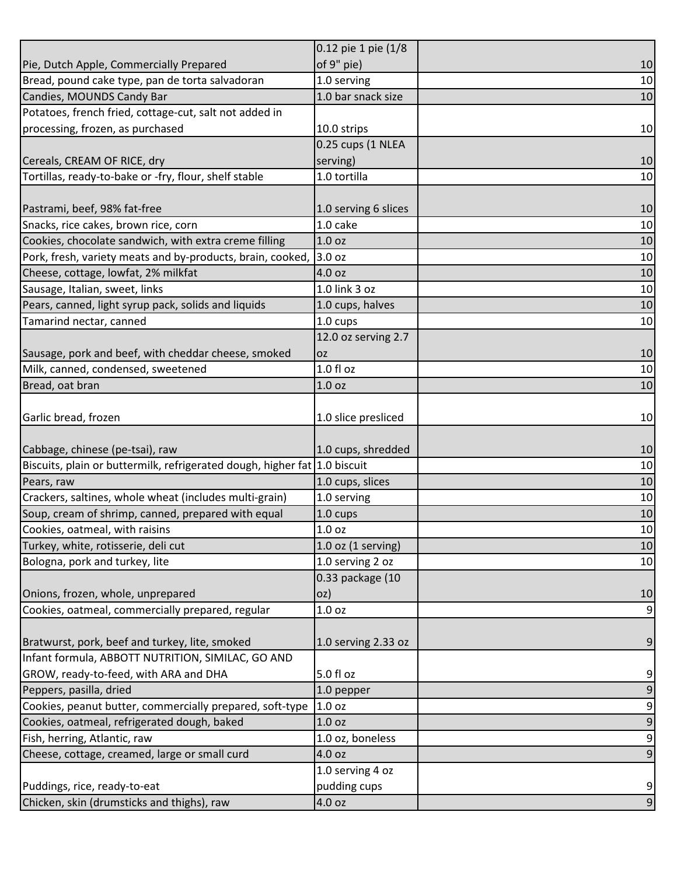|                                                                            | 0.12 pie 1 pie (1/8    |                     |
|----------------------------------------------------------------------------|------------------------|---------------------|
| Pie, Dutch Apple, Commercially Prepared                                    | of 9" pie)             | 10                  |
| Bread, pound cake type, pan de torta salvadoran                            | 1.0 serving            | 10                  |
| Candies, MOUNDS Candy Bar                                                  | 1.0 bar snack size     | 10                  |
| Potatoes, french fried, cottage-cut, salt not added in                     |                        |                     |
| processing, frozen, as purchased                                           | 10.0 strips            | 10                  |
|                                                                            | 0.25 cups (1 NLEA      |                     |
| Cereals, CREAM OF RICE, dry                                                | serving)               | 10                  |
| Tortillas, ready-to-bake or -fry, flour, shelf stable                      | 1.0 tortilla           | 10                  |
|                                                                            |                        |                     |
| Pastrami, beef, 98% fat-free                                               | 1.0 serving 6 slices   | 10                  |
| Snacks, rice cakes, brown rice, corn                                       | 1.0 cake               | 10                  |
| Cookies, chocolate sandwich, with extra creme filling                      | 1.0 <sub>oz</sub>      | 10                  |
| Pork, fresh, variety meats and by-products, brain, cooked,                 | 3.0 oz                 | 10                  |
| Cheese, cottage, lowfat, 2% milkfat                                        | 4.0 oz                 | 10                  |
| Sausage, Italian, sweet, links                                             | 1.0 link 3 oz          | 10                  |
| Pears, canned, light syrup pack, solids and liquids                        | 1.0 cups, halves       | 10                  |
| Tamarind nectar, canned                                                    | 1.0 cups               | 10                  |
|                                                                            | 12.0 oz serving 2.7    |                     |
| Sausage, pork and beef, with cheddar cheese, smoked                        | 0Z                     | 10                  |
| Milk, canned, condensed, sweetened                                         | 1.0 f1 oz              | 10                  |
| Bread, oat bran                                                            | 1.0 <sub>oz</sub>      | 10                  |
|                                                                            |                        |                     |
| Garlic bread, frozen                                                       | 1.0 slice presliced    | 10                  |
|                                                                            |                        |                     |
| Cabbage, chinese (pe-tsai), raw                                            | 1.0 cups, shredded     | 10                  |
| Biscuits, plain or buttermilk, refrigerated dough, higher fat 1.0 biscuit  |                        | 10                  |
| Pears, raw                                                                 | 1.0 cups, slices       | 10                  |
| Crackers, saltines, whole wheat (includes multi-grain)                     | 1.0 serving            | 10                  |
| Soup, cream of shrimp, canned, prepared with equal                         | 1.0 cups               | 10                  |
| Cookies, oatmeal, with raisins                                             | 1.0 <sub>oz</sub>      | 10                  |
| Turkey, white, rotisserie, deli cut                                        | $1.0$ oz $(1$ serving) | 10                  |
| Bologna, pork and turkey, lite                                             | 1.0 serving 2 oz       | 10                  |
|                                                                            | 0.33 package (10       |                     |
| Onions, frozen, whole, unprepared                                          | oz)                    | 10                  |
| Cookies, oatmeal, commercially prepared, regular                           | 1.0 <sub>oz</sub>      | $9\,$               |
|                                                                            |                        |                     |
| Bratwurst, pork, beef and turkey, lite, smoked                             | 1.0 serving 2.33 oz    | 9                   |
| Infant formula, ABBOTT NUTRITION, SIMILAC, GO AND                          |                        |                     |
| GROW, ready-to-feed, with ARA and DHA                                      | 5.0 fl oz              | 9                   |
| Peppers, pasilla, dried                                                    | 1.0 pepper             | $9\,$               |
| Cookies, peanut butter, commercially prepared, soft-type                   | 1.0 <sub>oz</sub>      | $\boldsymbol{9}$    |
| Cookies, oatmeal, refrigerated dough, baked                                | 1.0 oz                 | $\mathsf 9$         |
| Fish, herring, Atlantic, raw                                               | 1.0 oz, boneless       | $\overline{9}$      |
| Cheese, cottage, creamed, large or small curd                              | 4.0 oz                 | $\boldsymbol{9}$    |
|                                                                            |                        |                     |
|                                                                            | 1.0 serving 4 oz       |                     |
| Puddings, rice, ready-to-eat<br>Chicken, skin (drumsticks and thighs), raw | pudding cups<br>4.0 oz | 9<br>$\overline{9}$ |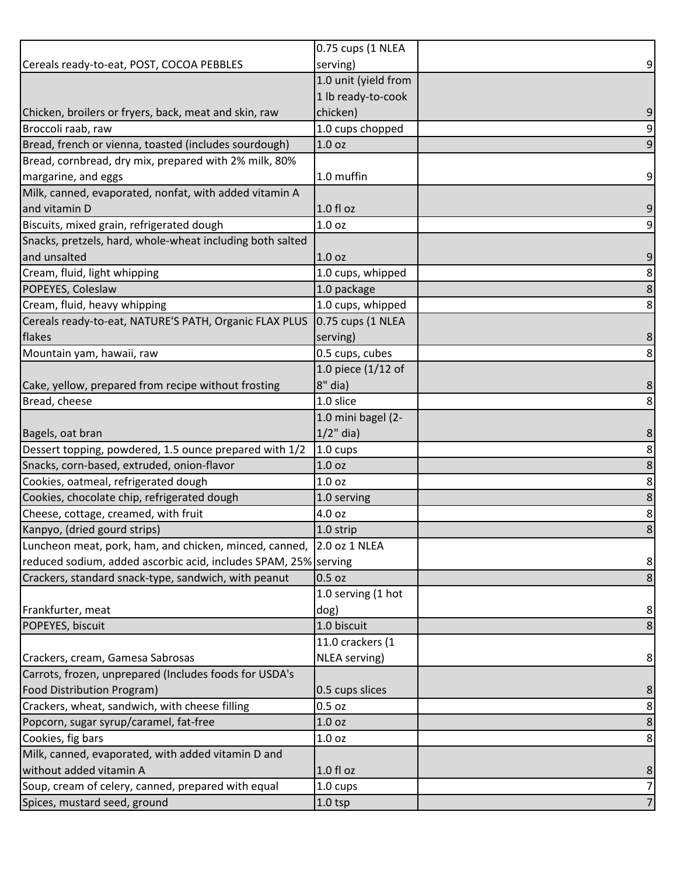|                                                                      | 0.75 cups (1 NLEA    |                  |
|----------------------------------------------------------------------|----------------------|------------------|
| Cereals ready-to-eat, POST, COCOA PEBBLES                            | serving)             | $\overline{9}$   |
|                                                                      | 1.0 unit (yield from |                  |
|                                                                      | 1 lb ready-to-cook   |                  |
| Chicken, broilers or fryers, back, meat and skin, raw                | chicken)             | 9                |
| Broccoli raab, raw                                                   | 1.0 cups chopped     | $\overline{9}$   |
| Bread, french or vienna, toasted (includes sourdough)                | 1.0 oz               | $\boldsymbol{9}$ |
| Bread, cornbread, dry mix, prepared with 2% milk, 80%                |                      |                  |
| margarine, and eggs                                                  | 1.0 muffin           | $\overline{9}$   |
| Milk, canned, evaporated, nonfat, with added vitamin A               |                      |                  |
| and vitamin D                                                        | $1.0 f$ l oz         | 9                |
| Biscuits, mixed grain, refrigerated dough                            | 1.0 oz               | $\overline{9}$   |
| Snacks, pretzels, hard, whole-wheat including both salted            |                      |                  |
| and unsalted                                                         | 1.0 <sub>oz</sub>    | 9                |
| Cream, fluid, light whipping                                         | 1.0 cups, whipped    | $\bf 8$          |
| POPEYES, Coleslaw                                                    | 1.0 package          | $\bf 8$          |
| Cream, fluid, heavy whipping                                         | 1.0 cups, whipped    | $\bf 8$          |
| Cereals ready-to-eat, NATURE'S PATH, Organic FLAX PLUS               | 0.75 cups (1 NLEA    |                  |
| flakes                                                               | serving)             | 8                |
| Mountain yam, hawaii, raw                                            | 0.5 cups, cubes      | 8                |
|                                                                      | 1.0 piece $(1/12$ of |                  |
| Cake, yellow, prepared from recipe without frosting                  | $8"$ dia)            | 8                |
| Bread, cheese                                                        | 1.0 slice            | 8                |
|                                                                      | 1.0 mini bagel (2-   |                  |
| Bagels, oat bran                                                     | $1/2$ " dia)         | 8                |
| Dessert topping, powdered, 1.5 ounce prepared with 1/2               | 1.0 cups             | $\bf 8$          |
| Snacks, corn-based, extruded, onion-flavor                           | 1.0 oz               | $\bf 8$          |
| Cookies, oatmeal, refrigerated dough                                 | 1.0 oz               | $\bf 8$          |
| Cookies, chocolate chip, refrigerated dough                          | 1.0 serving          | $\bf 8$          |
| Cheese, cottage, creamed, with fruit                                 | 4.0 oz               | $\bf 8$          |
| Kanpyo, (dried gourd strips)                                         | 1.0 strip            | 8                |
| Luncheon meat, pork, ham, and chicken, minced, canned, 2.0 oz 1 NLEA |                      |                  |
| reduced sodium, added ascorbic acid, includes SPAM, 25% serving      |                      | 8 <sup>°</sup>   |
| Crackers, standard snack-type, sandwich, with peanut                 | 0.5 oz               | 8                |
|                                                                      | 1.0 serving (1 hot   |                  |
| Frankfurter, meat                                                    | dog)                 | 8                |
| POPEYES, biscuit                                                     | 1.0 biscuit          | 8                |
|                                                                      | 11.0 crackers (1     |                  |
| Crackers, cream, Gamesa Sabrosas                                     | NLEA serving)        | 8 <sup>1</sup>   |
| Carrots, frozen, unprepared (Includes foods for USDA's               |                      |                  |
| <b>Food Distribution Program)</b>                                    | 0.5 cups slices      | 8                |
| Crackers, wheat, sandwich, with cheese filling                       | $0.5$ oz             | $\bf 8$          |
| Popcorn, sugar syrup/caramel, fat-free                               | 1.0 oz               | $\bf 8$          |
| Cookies, fig bars                                                    | 1.0 <sub>oz</sub>    | 8                |
| Milk, canned, evaporated, with added vitamin D and                   |                      |                  |
| without added vitamin A                                              | 1.0 fl oz            | 8                |
| Soup, cream of celery, canned, prepared with equal                   | 1.0 cups             | $\overline{7}$   |
| Spices, mustard seed, ground                                         | $1.0$ tsp            | $\overline{7}$   |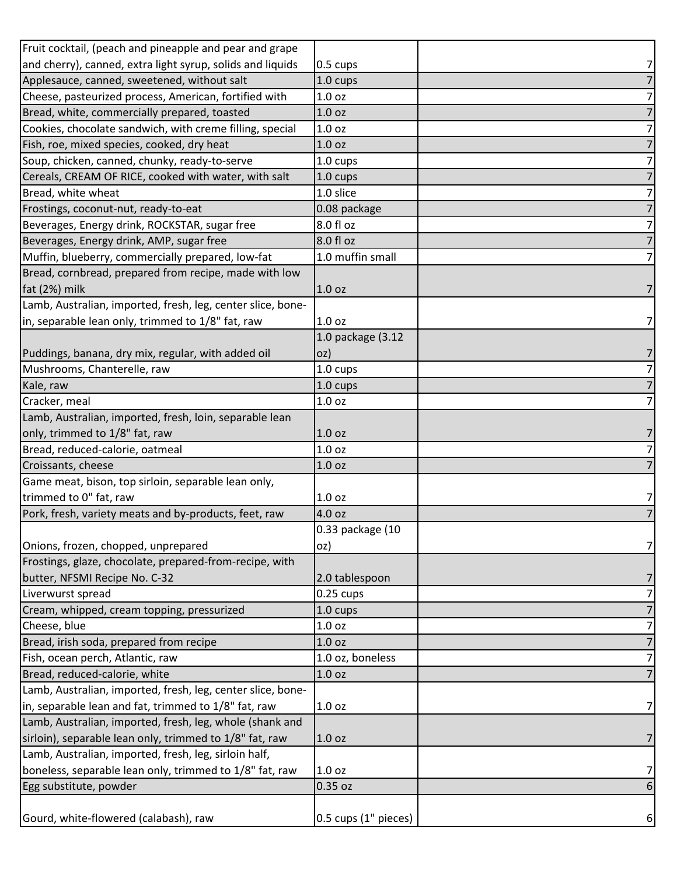| Fruit cocktail, (peach and pineapple and pear and grape     |                      |                |
|-------------------------------------------------------------|----------------------|----------------|
| and cherry), canned, extra light syrup, solids and liquids  | 0.5 cups             | 7              |
| Applesauce, canned, sweetened, without salt                 | 1.0 cups             | $\overline{7}$ |
| Cheese, pasteurized process, American, fortified with       | 1.0 <sub>oz</sub>    | $\overline{7}$ |
| Bread, white, commercially prepared, toasted                | 1.0 <sub>oz</sub>    | $\overline{7}$ |
| Cookies, chocolate sandwich, with creme filling, special    | 1.0 oz               | 7              |
| Fish, roe, mixed species, cooked, dry heat                  | 1.0 oz               | $\overline{7}$ |
| Soup, chicken, canned, chunky, ready-to-serve               | $1.0 \text{ cups}$   | $\overline{7}$ |
| Cereals, CREAM OF RICE, cooked with water, with salt        | $1.0 \text{ cups}$   | $\overline{7}$ |
| Bread, white wheat                                          | 1.0 slice            | $\overline{7}$ |
| Frostings, coconut-nut, ready-to-eat                        | 0.08 package         | $\overline{7}$ |
| Beverages, Energy drink, ROCKSTAR, sugar free               | 8.0 fl oz            | $\overline{7}$ |
| Beverages, Energy drink, AMP, sugar free                    | 8.0 fl oz            | $\overline{7}$ |
| Muffin, blueberry, commercially prepared, low-fat           | 1.0 muffin small     | $\overline{7}$ |
| Bread, cornbread, prepared from recipe, made with low       |                      |                |
| fat (2%) milk                                               | 1.0 <sub>oz</sub>    | 7              |
| Lamb, Australian, imported, fresh, leg, center slice, bone- |                      |                |
| in, separable lean only, trimmed to 1/8" fat, raw           | 1.0 <sub>oz</sub>    | 7              |
|                                                             | 1.0 package (3.12    |                |
| Puddings, banana, dry mix, regular, with added oil          | OZ)                  | 7              |
| Mushrooms, Chanterelle, raw                                 | 1.0 cups             | $\overline{z}$ |
| Kale, raw                                                   | $1.0 \text{ cups}$   | $\overline{7}$ |
| Cracker, meal                                               | 1.0 <sub>oz</sub>    | $\overline{7}$ |
| Lamb, Australian, imported, fresh, loin, separable lean     |                      |                |
| only, trimmed to 1/8" fat, raw                              | 1.0 <sub>oz</sub>    | 7              |
| Bread, reduced-calorie, oatmeal                             | 1.0 oz               | $\overline{7}$ |
| Croissants, cheese                                          | 1.0 <sub>oz</sub>    | $\overline{7}$ |
| Game meat, bison, top sirloin, separable lean only,         |                      |                |
| trimmed to 0" fat, raw                                      | 1.0 oz               | 71             |
| Pork, fresh, variety meats and by-products, feet, raw       | 4.0 oz               | $\overline{7}$ |
|                                                             | 0.33 package (10     |                |
| Onions, frozen, chopped, unprepared                         | oz)                  | 7 <sup>1</sup> |
| Frostings, glaze, chocolate, prepared-from-recipe, with     |                      |                |
| butter, NFSMI Recipe No. C-32                               | 2.0 tablespoon       | 7              |
| Liverwurst spread                                           | $0.25$ cups          | $\overline{7}$ |
| Cream, whipped, cream topping, pressurized                  | 1.0 cups             | $\overline{7}$ |
| Cheese, blue                                                | 1.0 <sub>oz</sub>    | 7              |
| Bread, irish soda, prepared from recipe                     | 1.0 <sub>oz</sub>    | $\overline{7}$ |
| Fish, ocean perch, Atlantic, raw                            | 1.0 oz, boneless     | $\overline{7}$ |
| Bread, reduced-calorie, white                               | 1.0 oz               | $\overline{7}$ |
| Lamb, Australian, imported, fresh, leg, center slice, bone- |                      |                |
| in, separable lean and fat, trimmed to 1/8" fat, raw        | 1.0 oz               | 7 <sup>1</sup> |
| Lamb, Australian, imported, fresh, leg, whole (shank and    |                      |                |
| sirloin), separable lean only, trimmed to 1/8" fat, raw     | 1.0 <sub>oz</sub>    | 7              |
| Lamb, Australian, imported, fresh, leg, sirloin half,       |                      |                |
| boneless, separable lean only, trimmed to 1/8" fat, raw     | 1.0 <sub>oz</sub>    | 7              |
| Egg substitute, powder                                      | 0.35 oz              | 6              |
|                                                             |                      |                |
| Gourd, white-flowered (calabash), raw                       | 0.5 cups (1" pieces) | $6 \mid$       |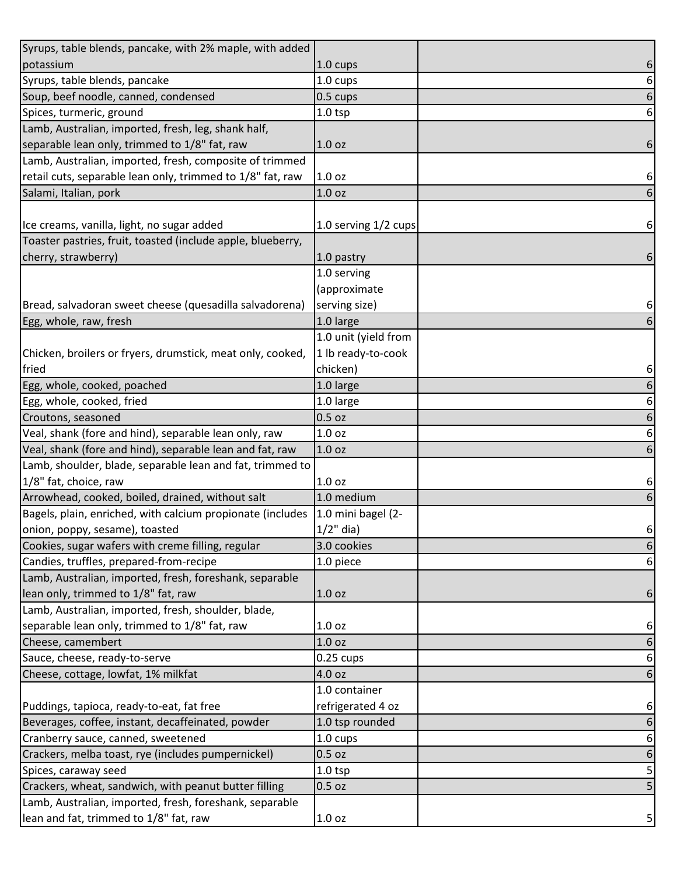| Syrups, table blends, pancake, with 2% maple, with added    |                      |                  |
|-------------------------------------------------------------|----------------------|------------------|
| potassium                                                   | 1.0 cups             | 6                |
| Syrups, table blends, pancake                               | 1.0 cups             | 6                |
| Soup, beef noodle, canned, condensed                        | 0.5 cups             | $\boldsymbol{6}$ |
| Spices, turmeric, ground                                    | $1.0$ tsp            | 6                |
| Lamb, Australian, imported, fresh, leg, shank half,         |                      |                  |
| separable lean only, trimmed to 1/8" fat, raw               | 1.0 <sub>oz</sub>    | 6                |
| Lamb, Australian, imported, fresh, composite of trimmed     |                      |                  |
| retail cuts, separable lean only, trimmed to 1/8" fat, raw  | 1.0 <sub>oz</sub>    | 6                |
| Salami, Italian, pork                                       | 1.0 oz               | 6                |
|                                                             |                      |                  |
| Ice creams, vanilla, light, no sugar added                  | 1.0 serving 1/2 cups | 6                |
| Toaster pastries, fruit, toasted (include apple, blueberry, |                      |                  |
| cherry, strawberry)                                         | 1.0 pastry           | 6                |
|                                                             | 1.0 serving          |                  |
|                                                             | (approximate         |                  |
| Bread, salvadoran sweet cheese (quesadilla salvadorena)     | serving size)        | 6                |
| Egg, whole, raw, fresh                                      | 1.0 large            | 6                |
|                                                             | 1.0 unit (yield from |                  |
| Chicken, broilers or fryers, drumstick, meat only, cooked,  | 1 lb ready-to-cook   |                  |
| fried                                                       | chicken)             | 6                |
| Egg, whole, cooked, poached                                 | 1.0 large            | 6                |
| Egg, whole, cooked, fried                                   | 1.0 large            | $\boldsymbol{6}$ |
| Croutons, seasoned                                          | 0.5 oz               | 6                |
| Veal, shank (fore and hind), separable lean only, raw       | 1.0 oz               | 6                |
| Veal, shank (fore and hind), separable lean and fat, raw    | 1.0 <sub>oz</sub>    | 6                |
| Lamb, shoulder, blade, separable lean and fat, trimmed to   |                      |                  |
| 1/8" fat, choice, raw                                       | 1.0 <sub>oz</sub>    | 6                |
| Arrowhead, cooked, boiled, drained, without salt            | 1.0 medium           | 6                |
| Bagels, plain, enriched, with calcium propionate (includes  | 1.0 mini bagel (2-   |                  |
| onion, poppy, sesame), toasted                              | $1/2$ " dia)         | $6 \mid$         |
| Cookies, sugar wafers with creme filling, regular           | 3.0 cookies          | 6                |
| Candies, truffles, prepared-from-recipe                     | 1.0 piece            | 6                |
| Lamb, Australian, imported, fresh, foreshank, separable     |                      |                  |
| lean only, trimmed to 1/8" fat, raw                         | 1.0 <sub>oz</sub>    | 6                |
| Lamb, Australian, imported, fresh, shoulder, blade,         |                      |                  |
| separable lean only, trimmed to 1/8" fat, raw               | 1.0 oz               | 6                |
| Cheese, camembert                                           | 1.0 oz               | 6                |
| Sauce, cheese, ready-to-serve                               | $0.25$ cups          | 6                |
| Cheese, cottage, lowfat, 1% milkfat                         | 4.0 oz               | 6                |
|                                                             | 1.0 container        |                  |
| Puddings, tapioca, ready-to-eat, fat free                   | refrigerated 4 oz    | 6                |
| Beverages, coffee, instant, decaffeinated, powder           | 1.0 tsp rounded      | 6                |
| Cranberry sauce, canned, sweetened                          | 1.0 cups             | 6                |
| Crackers, melba toast, rye (includes pumpernickel)          | 0.5 oz               | 6                |
| Spices, caraway seed                                        | $1.0$ tsp            | 5                |
| Crackers, wheat, sandwich, with peanut butter filling       | 0.5 oz               | 5                |
| Lamb, Australian, imported, fresh, foreshank, separable     |                      |                  |
| lean and fat, trimmed to 1/8" fat, raw                      | 1.0 oz               | 5                |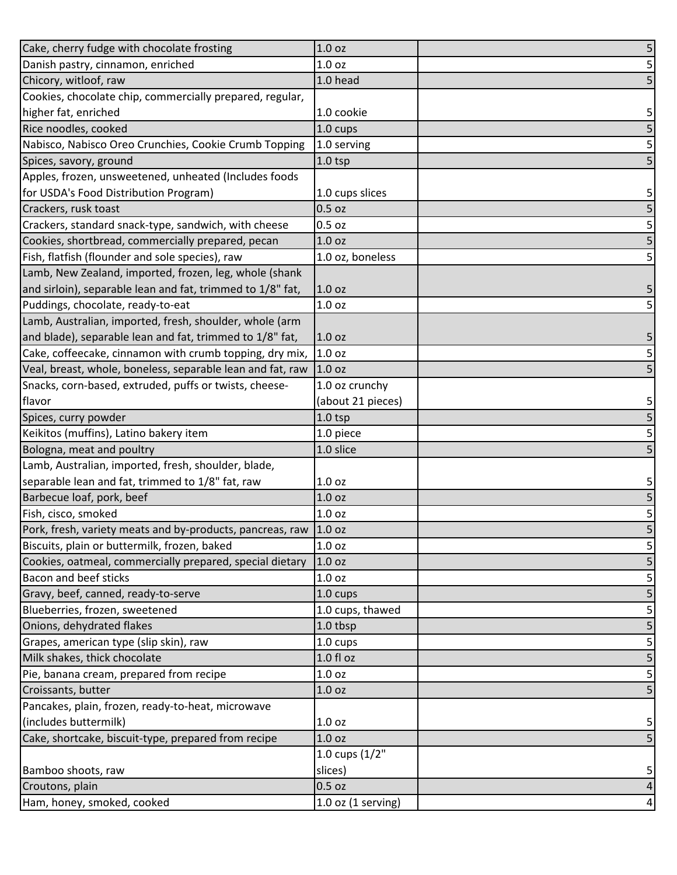| Cake, cherry fudge with chocolate frosting                 | 1.0 <sub>oz</sub>      | 5                       |
|------------------------------------------------------------|------------------------|-------------------------|
| Danish pastry, cinnamon, enriched                          | 1.0 <sub>oz</sub>      | $\mathsf S$             |
| Chicory, witloof, raw                                      | 1.0 head               | 5                       |
| Cookies, chocolate chip, commercially prepared, regular,   |                        |                         |
| higher fat, enriched                                       | 1.0 cookie             | 5                       |
| Rice noodles, cooked                                       | 1.0 cups               | 5                       |
| Nabisco, Nabisco Oreo Crunchies, Cookie Crumb Topping      | 1.0 serving            | $\overline{5}$          |
| Spices, savory, ground                                     | $1.0$ tsp              | 5                       |
| Apples, frozen, unsweetened, unheated (Includes foods      |                        |                         |
| for USDA's Food Distribution Program)                      | 1.0 cups slices        | 5                       |
| Crackers, rusk toast                                       | $0.5$ oz               | 5                       |
| Crackers, standard snack-type, sandwich, with cheese       | $0.5$ oz               | 5                       |
| Cookies, shortbread, commercially prepared, pecan          | 1.0 <sub>oz</sub>      | 5                       |
| Fish, flatfish (flounder and sole species), raw            | 1.0 oz, boneless       | $\mathsf S$             |
| Lamb, New Zealand, imported, frozen, leg, whole (shank     |                        |                         |
| and sirloin), separable lean and fat, trimmed to 1/8" fat, | 1.0 oz                 | 5                       |
| Puddings, chocolate, ready-to-eat                          | 1.0 oz                 | 5                       |
| Lamb, Australian, imported, fresh, shoulder, whole (arm    |                        |                         |
| and blade), separable lean and fat, trimmed to 1/8" fat,   | 1.0 oz                 | 5                       |
| Cake, coffeecake, cinnamon with crumb topping, dry mix,    | 1.0 oz                 | $\overline{\mathbf{5}}$ |
| Veal, breast, whole, boneless, separable lean and fat, raw | 1.0 <sub>oz</sub>      | $\overline{5}$          |
| Snacks, corn-based, extruded, puffs or twists, cheese-     | 1.0 oz crunchy         |                         |
| flavor                                                     | (about 21 pieces)      | 5                       |
| Spices, curry powder                                       | $1.0$ tsp              | 5                       |
| Keikitos (muffins), Latino bakery item                     | 1.0 piece              | 5                       |
| Bologna, meat and poultry                                  | 1.0 slice              | 5                       |
| Lamb, Australian, imported, fresh, shoulder, blade,        |                        |                         |
| separable lean and fat, trimmed to 1/8" fat, raw           | 1.0 oz                 | 5                       |
| Barbecue loaf, pork, beef                                  | 1.0 <sub>oz</sub>      | 5                       |
| Fish, cisco, smoked                                        | 1.0 oz                 | $\overline{\mathbf{5}}$ |
| Pork, fresh, variety meats and by-products, pancreas, raw  | 1.0 <sub>oz</sub>      | 5                       |
| Biscuits, plain or buttermilk, frozen, baked               | 1.0 oz                 | 5                       |
| Cookies, oatmeal, commercially prepared, special dietary   | 1.0 <sub>oz</sub>      | 5                       |
| <b>Bacon and beef sticks</b>                               | 1.0 oz                 | 5                       |
| Gravy, beef, canned, ready-to-serve                        | 1.0 cups               | 5                       |
| Blueberries, frozen, sweetened                             | 1.0 cups, thawed       | 5                       |
| Onions, dehydrated flakes                                  | 1.0 tbsp               | 5                       |
| Grapes, american type (slip skin), raw                     | 1.0 cups               | 5                       |
| Milk shakes, thick chocolate                               | $1.0 f$ l oz           | 5                       |
| Pie, banana cream, prepared from recipe                    | 1.0 <sub>oz</sub>      | 5                       |
| Croissants, butter                                         | 1.0 oz                 | $\overline{\mathbf{5}}$ |
| Pancakes, plain, frozen, ready-to-heat, microwave          |                        |                         |
| (includes buttermilk)                                      | 1.0 <sub>oz</sub>      | 5                       |
| Cake, shortcake, biscuit-type, prepared from recipe        | 1.0 <sub>oz</sub>      | 5                       |
|                                                            | 1.0 cups (1/2"         |                         |
| Bamboo shoots, raw                                         | slices)                | 5                       |
| Croutons, plain                                            | $0.5$ oz               | $\pmb{4}$               |
| Ham, honey, smoked, cooked                                 | $1.0$ oz $(1$ serving) | $\overline{a}$          |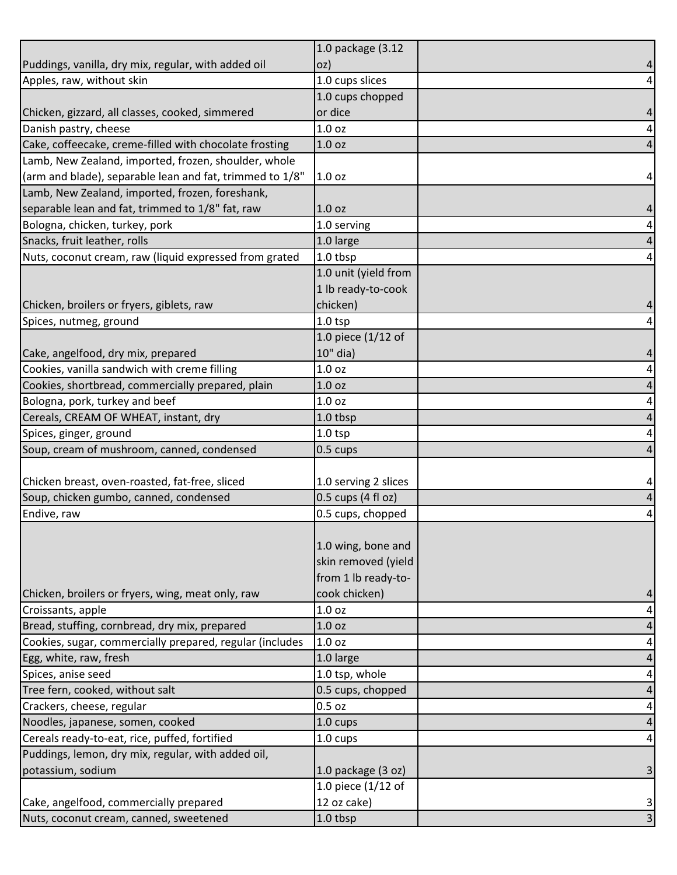|                                                          | 1.0 package (3.12    |                |
|----------------------------------------------------------|----------------------|----------------|
| Puddings, vanilla, dry mix, regular, with added oil      | OZ)                  | 4              |
| Apples, raw, without skin                                | 1.0 cups slices      | 4              |
|                                                          | 1.0 cups chopped     |                |
| Chicken, gizzard, all classes, cooked, simmered          | or dice              |                |
| Danish pastry, cheese                                    | 1.0 <sub>oz</sub>    | 4              |
| Cake, coffeecake, creme-filled with chocolate frosting   | 1.0 <sub>oz</sub>    | 4              |
| Lamb, New Zealand, imported, frozen, shoulder, whole     |                      |                |
| (arm and blade), separable lean and fat, trimmed to 1/8" | 1.0 <sub>oz</sub>    | 4              |
| Lamb, New Zealand, imported, frozen, foreshank,          |                      |                |
| separable lean and fat, trimmed to 1/8" fat, raw         | 1.0 <sub>oz</sub>    | 4              |
| Bologna, chicken, turkey, pork                           | 1.0 serving          | 4              |
| Snacks, fruit leather, rolls                             | 1.0 large            | 4              |
| Nuts, coconut cream, raw (liquid expressed from grated   | 1.0 tbsp             | 4              |
|                                                          | 1.0 unit (yield from |                |
|                                                          | 1 lb ready-to-cook   |                |
| Chicken, broilers or fryers, giblets, raw                | chicken)             |                |
| Spices, nutmeg, ground                                   | $1.0$ tsp            | 4              |
|                                                          | 1.0 piece $(1/12$ of |                |
| Cake, angelfood, dry mix, prepared                       | 10" dia)             |                |
| Cookies, vanilla sandwich with creme filling             | 1.0 <sub>oz</sub>    | 4              |
| Cookies, shortbread, commercially prepared, plain        | 1.0 <sub>oz</sub>    | 4              |
| Bologna, pork, turkey and beef                           | 1.0 <sub>oz</sub>    | 4              |
| Cereals, CREAM OF WHEAT, instant, dry                    | 1.0 tbsp             | 4              |
| Spices, ginger, ground                                   | $1.0$ tsp            | 4              |
| Soup, cream of mushroom, canned, condensed               | 0.5 cups             | 4              |
|                                                          |                      |                |
| Chicken breast, oven-roasted, fat-free, sliced           | 1.0 serving 2 slices | 4              |
| Soup, chicken gumbo, canned, condensed                   | 0.5 cups (4 fl oz)   | 4              |
| Endive, raw                                              | 0.5 cups, chopped    | 4              |
|                                                          |                      |                |
|                                                          | 1.0 wing, bone and   |                |
|                                                          | skin removed (yield  |                |
|                                                          | from 1 lb ready-to-  |                |
| Chicken, broilers or fryers, wing, meat only, raw        | cook chicken)        |                |
| Croissants, apple                                        | 1.0 <sub>oz</sub>    | 4              |
| Bread, stuffing, cornbread, dry mix, prepared            | 1.0 <sub>oz</sub>    | 4              |
| Cookies, sugar, commercially prepared, regular (includes | 1.0 <sub>oz</sub>    | 4              |
| Egg, white, raw, fresh                                   | 1.0 large            | 4              |
| Spices, anise seed                                       | 1.0 tsp, whole       | 4              |
| Tree fern, cooked, without salt                          | 0.5 cups, chopped    | 4              |
| Crackers, cheese, regular                                | $0.5$ oz             | 4              |
| Noodles, japanese, somen, cooked                         | 1.0 cups             | 4              |
| Cereals ready-to-eat, rice, puffed, fortified            | $1.0 \text{ cups}$   | 4              |
| Puddings, lemon, dry mix, regular, with added oil,       |                      |                |
| potassium, sodium                                        | 1.0 package (3 oz)   | 3              |
|                                                          | 1.0 piece (1/12 of   |                |
| Cake, angelfood, commercially prepared                   | 12 oz cake)          | 3              |
| Nuts, coconut cream, canned, sweetened                   | 1.0 tbsp             | 3 <sup>1</sup> |
|                                                          |                      |                |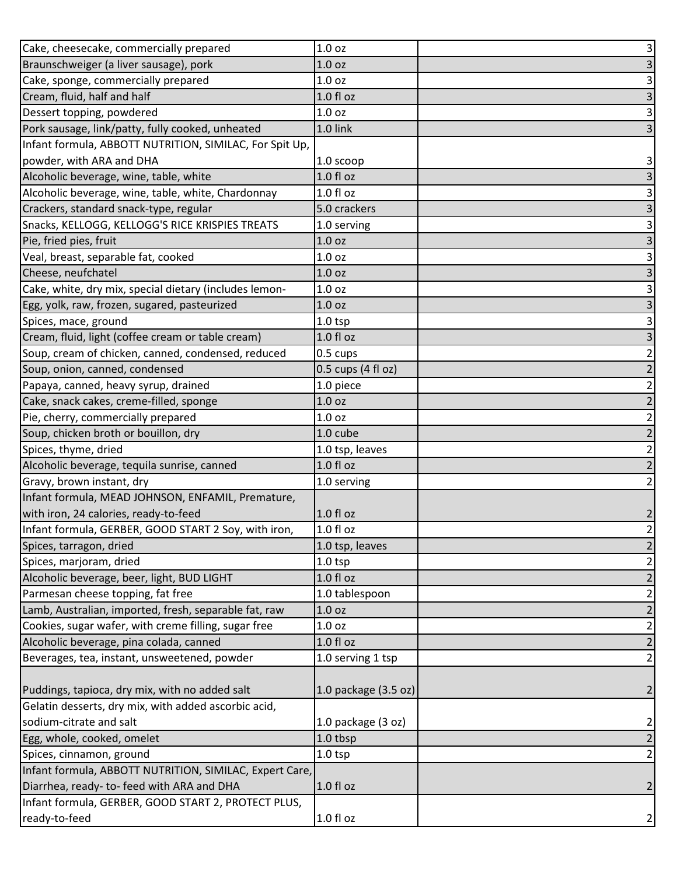| Cake, cheesecake, commercially prepared                 | 1.0 <sub>oz</sub>    | $\vert$ 3               |
|---------------------------------------------------------|----------------------|-------------------------|
| Braunschweiger (a liver sausage), pork                  | 1.0 oz               | 3                       |
| Cake, sponge, commercially prepared                     | 1.0 oz               | 3                       |
| Cream, fluid, half and half                             | $1.0 f$ l oz         | $\overline{\mathbf{3}}$ |
| Dessert topping, powdered                               | 1.0 oz               | $\vert$                 |
| Pork sausage, link/patty, fully cooked, unheated        | 1.0 link             | $\mathsf{3}$            |
| Infant formula, ABBOTT NUTRITION, SIMILAC, For Spit Up, |                      |                         |
| powder, with ARA and DHA                                | 1.0 scoop            | 3                       |
| Alcoholic beverage, wine, table, white                  | $1.0 f$ l oz         | $\overline{\mathbf{3}}$ |
| Alcoholic beverage, wine, table, white, Chardonnay      | $1.0 f$ l oz         | 3                       |
| Crackers, standard snack-type, regular                  | 5.0 crackers         | $\overline{\mathbf{3}}$ |
| Snacks, KELLOGG, KELLOGG'S RICE KRISPIES TREATS         | 1.0 serving          | 3                       |
| Pie, fried pies, fruit                                  | 1.0 oz               | $\mathsf{3}$            |
| Veal, breast, separable fat, cooked                     | 1.0 oz               | 3                       |
| Cheese, neufchatel                                      | 1.0 oz               | $\overline{\mathbf{3}}$ |
| Cake, white, dry mix, special dietary (includes lemon-  | 1.0 oz               | $\mathbf{3}$            |
| Egg, yolk, raw, frozen, sugared, pasteurized            | 1.0 <sub>oz</sub>    | 3                       |
| Spices, mace, ground                                    | $1.0$ tsp            | 3                       |
| Cream, fluid, light (coffee cream or table cream)       | $1.0 f$ l oz         | 3                       |
| Soup, cream of chicken, canned, condensed, reduced      | 0.5 cups             | $\overline{2}$          |
| Soup, onion, canned, condensed                          | 0.5 cups (4 fl oz)   | $\overline{2}$          |
| Papaya, canned, heavy syrup, drained                    | 1.0 piece            | $\mathbf{2}$            |
| Cake, snack cakes, creme-filled, sponge                 | 1.0 <sub>oz</sub>    | $\overline{2}$          |
| Pie, cherry, commercially prepared                      | 1.0 <sub>oz</sub>    | $\mathbf{2}$            |
| Soup, chicken broth or bouillon, dry                    | 1.0 cube             | $\overline{2}$          |
| Spices, thyme, dried                                    | 1.0 tsp, leaves      | $\overline{2}$          |
| Alcoholic beverage, tequila sunrise, canned             | 1.0 fl oz            | $\overline{2}$          |
| Gravy, brown instant, dry                               | 1.0 serving          | $\overline{2}$          |
| Infant formula, MEAD JOHNSON, ENFAMIL, Premature,       |                      |                         |
| with iron, 24 calories, ready-to-feed                   | 1.0 fl oz            | $\overline{2}$          |
| Infant formula, GERBER, GOOD START 2 Soy, with iron,    | 1.0 fl oz            | $\overline{2}$          |
| Spices, tarragon, dried                                 | 1.0 tsp, leaves      | $\overline{2}$          |
| Spices, marjoram, dried                                 | $1.0$ tsp            | $\overline{a}$          |
| Alcoholic beverage, beer, light, BUD LIGHT              | $1.0 f$ l oz         | $\overline{2}$          |
| Parmesan cheese topping, fat free                       | 1.0 tablespoon       | $\mathbf{2}$            |
| Lamb, Australian, imported, fresh, separable fat, raw   | 1.0 <sub>oz</sub>    | $\overline{2}$          |
| Cookies, sugar wafer, with creme filling, sugar free    | 1.0 oz               | $\mathbf{2}$            |
| Alcoholic beverage, pina colada, canned                 | $1.0 f$ l oz         | $\overline{2}$          |
| Beverages, tea, instant, unsweetened, powder            | 1.0 serving 1 tsp    | $\overline{2}$          |
|                                                         |                      |                         |
| Puddings, tapioca, dry mix, with no added salt          | 1.0 package (3.5 oz) | $\overline{2}$          |
| Gelatin desserts, dry mix, with added ascorbic acid,    |                      |                         |
| sodium-citrate and salt                                 | 1.0 package (3 oz)   | $\mathbf{2}$            |
| Egg, whole, cooked, omelet                              | 1.0 tbsp             | $\overline{2}$          |
| Spices, cinnamon, ground                                | $1.0$ tsp            | $\mathbf{2}$            |
| Infant formula, ABBOTT NUTRITION, SIMILAC, Expert Care, |                      |                         |
| Diarrhea, ready- to- feed with ARA and DHA              | 1.0 fl oz            | $\overline{2}$          |
| Infant formula, GERBER, GOOD START 2, PROTECT PLUS,     |                      |                         |
| ready-to-feed                                           | 1.0 fl oz            | $\overline{2}$          |